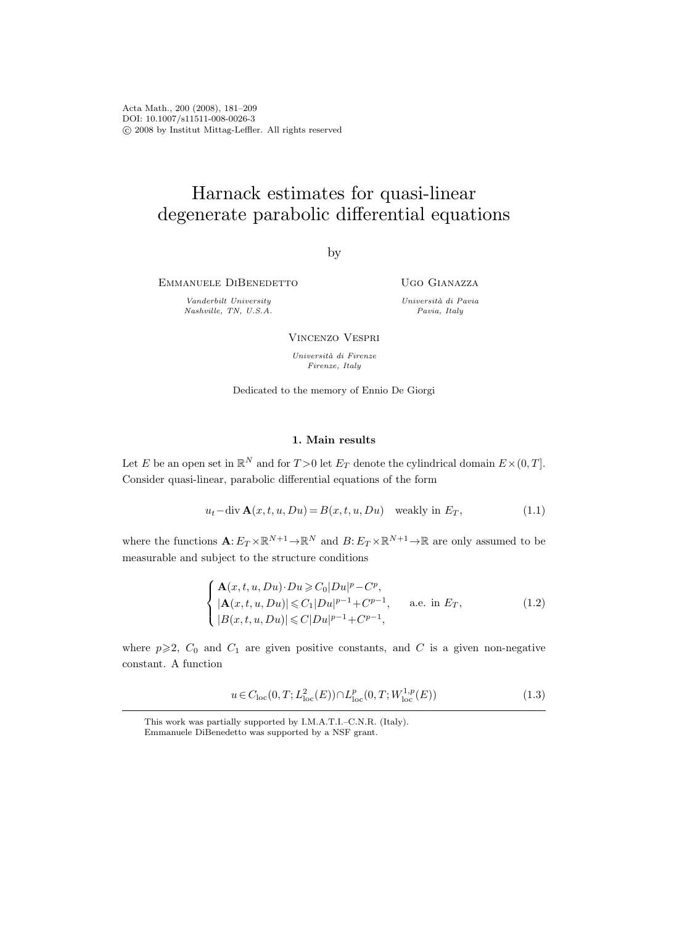Acta Math., 200 (2008), 181–209 DOI: 10.1007/s11511-008-0026-3 c 2008 by Institut Mittag-Leffler. All rights reserved

# Harnack estimates for quasi-linear degenerate parabolic differential equations

by

Emmanuele DiBenedetto

Vanderbilt University Nashville, TN, U.S.A. Ugo Gianazza

Universit`a di Pavia Pavia, Italy

Vincenzo Vespri

Università di Firenze Firenze, Italy

Dedicated to the memory of Ennio De Giorgi

## 1. Main results

Let E be an open set in  $\mathbb{R}^N$  and for  $T > 0$  let  $E_T$  denote the cylindrical domain  $E \times (0, T]$ . Consider quasi-linear, parabolic differential equations of the form

$$
u_t - \operatorname{div} \mathbf{A}(x, t, u, Du) = B(x, t, u, Du) \quad \text{weakly in } E_T,
$$
\n(1.1)

where the functions  $\mathbf{A}: E_T \times \mathbb{R}^{N+1} \to \mathbb{R}^N$  and  $B: E_T \times \mathbb{R}^{N+1} \to \mathbb{R}$  are only assumed to be measurable and subject to the structure conditions

$$
\begin{cases}\n\mathbf{A}(x, t, u, Du) \cdot Du \ge C_0 |Du|^p - C^p, \\
|\mathbf{A}(x, t, u, Du)| \le C_1 |Du|^{p-1} + C^{p-1}, \quad \text{a.e. in } E_T, \\
|B(x, t, u, Du)| \le C|Du|^{p-1} + C^{p-1},\n\end{cases}
$$
\n(1.2)

where  $p \geq 2$ ,  $C_0$  and  $C_1$  are given positive constants, and C is a given non-negative constant. A function

$$
u \in C_{\text{loc}}(0, T; L^{2}_{\text{loc}}(E)) \cap L^{p}_{\text{loc}}(0, T; W^{1, p}_{\text{loc}}(E))
$$
\n(1.3)

This work was partially supported by I.M.A.T.I.–C.N.R. (Italy). Emmanuele DiBenedetto was supported by a NSF grant.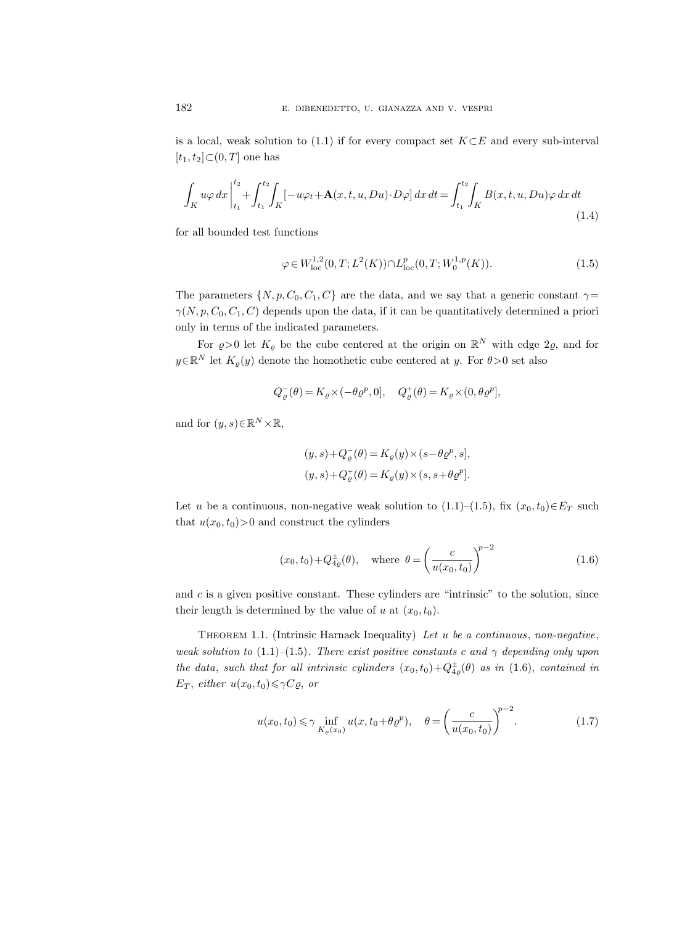is a local, weak solution to (1.1) if for every compact set  $K \subset E$  and every sub-interval  $[t_1, t_2] \subset (0, T]$  one has

$$
\int_{K} u\varphi \, dx \Big|_{t_1}^{t_2} + \int_{t_1}^{t_2} \int_{K} \left[ -u\varphi_t + \mathbf{A}(x, t, u, Du) \cdot D\varphi \right] dx \, dt = \int_{t_1}^{t_2} \int_{K} B(x, t, u, Du)\varphi \, dx \, dt \tag{1.4}
$$

for all bounded test functions

$$
\varphi \in W^{1,2}_{loc}(0,T;L^2(K)) \cap L^p_{loc}(0,T;W^{1,p}_0(K)).
$$
\n(1.5)

The parameters  $\{N, p, C_0, C_1, C\}$  are the data, and we say that a generic constant  $\gamma =$  $\gamma(N, p, C_0, C_1, C)$  depends upon the data, if it can be quantitatively determined a priori only in terms of the indicated parameters.

For  $\varrho > 0$  let  $K_{\varrho}$  be the cube centered at the origin on  $\mathbb{R}^N$  with edge  $2\varrho$ , and for  $y \in \mathbb{R}^N$  let  $K_{\varrho}(y)$  denote the homothetic cube centered at y. For  $\theta > 0$  set also

$$
Q^-_{\varrho}(\theta)=K_{\varrho}\times (-\theta\varrho^p,0],\quad Q^+_{\varrho}(\theta)=K_{\varrho}\times (0,\theta\varrho^p],
$$

and for  $(y, s) \in \mathbb{R}^N \times \mathbb{R}$ ,

$$
\begin{aligned} &(y,s) + Q_{\varrho}^-(\theta) = K_{\varrho}(y) \times (s - \theta \varrho^p, s],\\ &(y,s) + Q_{\varrho}^+(\theta) = K_{\varrho}(y) \times (s, s + \theta \varrho^p). \end{aligned}
$$

Let u be a continuous, non-negative weak solution to  $(1.1)–(1.5)$ , fix  $(x_0, t_0) \in E_T$  such that  $u(x_0, t_0) > 0$  and construct the cylinders

$$
(x_0, t_0) + Q_{4\varrho}^{\pm}(\theta)
$$
, where  $\theta = \left(\frac{c}{u(x_0, t_0)}\right)^{p-2}$  (1.6)

and  $c$  is a given positive constant. These cylinders are "intrinsic" to the solution, since their length is determined by the value of u at  $(x_0, t_0)$ .

THEOREM 1.1. (Intrinsic Harnack Inequality) Let  $u$  be a continuous, non-negative, weak solution to (1.1)–(1.5). There exist positive constants c and  $\gamma$  depending only upon the data, such that for all intrinsic cylinders  $(x_0, t_0) + Q_{4\rho}^{\pm}(\theta)$  as in (1.6), contained in  $E_T$ , either  $u(x_0, t_0) \leq \gamma C \varrho$ , or

$$
u(x_0, t_0) \le \gamma \inf_{K_{\varrho}(x_0)} u(x, t_0 + \theta \varrho^p), \quad \theta = \left(\frac{c}{u(x_0, t_0)}\right)^{p-2}.
$$
 (1.7)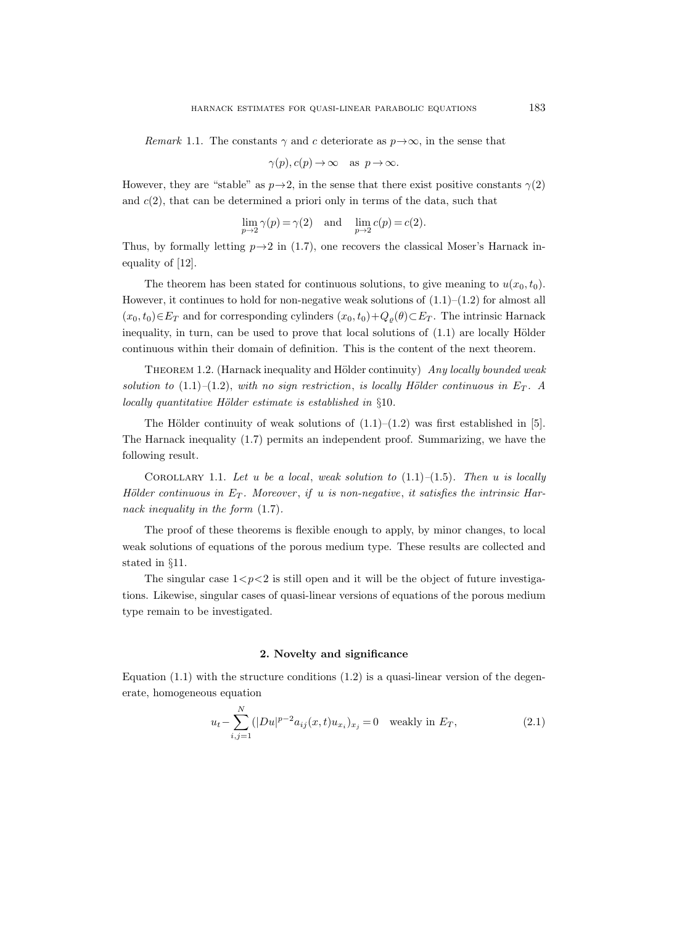Remark 1.1. The constants  $\gamma$  and c deteriorate as  $p \rightarrow \infty$ , in the sense that

$$
\gamma(p), c(p) \to \infty \text{ as } p \to \infty.
$$

However, they are "stable" as  $p \rightarrow 2$ , in the sense that there exist positive constants  $\gamma(2)$ and  $c(2)$ , that can be determined a priori only in terms of the data, such that

$$
\lim_{p \to 2} \gamma(p) = \gamma(2) \quad \text{and} \quad \lim_{p \to 2} c(p) = c(2).
$$

Thus, by formally letting  $p \rightarrow 2$  in (1.7), one recovers the classical Moser's Harnack inequality of [12].

The theorem has been stated for continuous solutions, to give meaning to  $u(x_0, t_0)$ . However, it continues to hold for non-negative weak solutions of  $(1.1)$ – $(1.2)$  for almost all  $(x_0, t_0) \in E_T$  and for corresponding cylinders  $(x_0, t_0) + Q_\rho(\theta) \subset E_T$ . The intrinsic Harnack inequality, in turn, can be used to prove that local solutions of  $(1.1)$  are locally Hölder continuous within their domain of definition. This is the content of the next theorem.

THEOREM 1.2. (Harnack inequality and Hölder continuity)  $Any$  locally bounded weak solution to (1.1)–(1.2), with no sign restriction, is locally Hölder continuous in  $E_T$ . locally quantitative Hölder estimate is established in  $§10$ .

The Hölder continuity of weak solutions of  $(1.1)$ – $(1.2)$  was first established in [5]. The Harnack inequality (1.7) permits an independent proof. Summarizing, we have the following result.

COROLLARY 1.1. Let u be a local, weak solution to  $(1.1)$ – $(1.5)$ . Then u is locally Hölder continuous in  $E_T$ . Moreover, if u is non-negative, it satisfies the intrinsic Harnack inequality in the form  $(1.7)$ .

The proof of these theorems is flexible enough to apply, by minor changes, to local weak solutions of equations of the porous medium type. These results are collected and stated in §11.

The singular case  $1 < p < 2$  is still open and it will be the object of future investigations. Likewise, singular cases of quasi-linear versions of equations of the porous medium type remain to be investigated.

## 2. Novelty and significance

Equation  $(1.1)$  with the structure conditions  $(1.2)$  is a quasi-linear version of the degenerate, homogeneous equation

$$
u_t - \sum_{i,j=1}^{N} (|Du|^{p-2} a_{ij}(x,t) u_{x_i})_{x_j} = 0 \quad \text{weakly in } E_T,
$$
\n(2.1)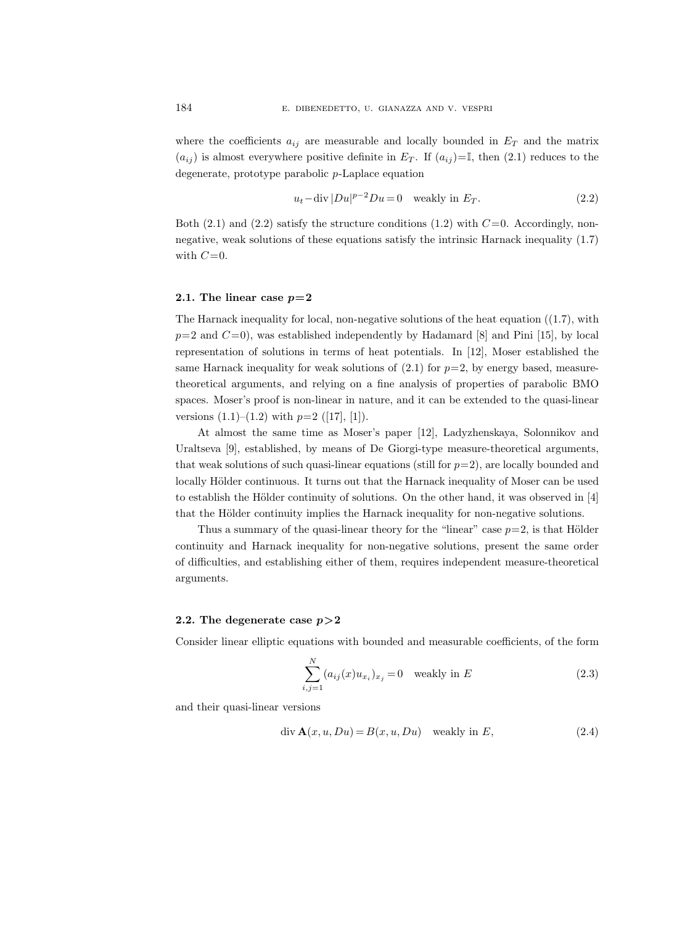where the coefficients  $a_{ij}$  are measurable and locally bounded in  $E_T$  and the matrix  $(a_{ij})$  is almost everywhere positive definite in  $E_T$ . If  $(a_{ij})=I$ , then (2.1) reduces to the degenerate, prototype parabolic p-Laplace equation

$$
u_t - \operatorname{div} |Du|^{p-2}Du = 0 \quad \text{weakly in } E_T. \tag{2.2}
$$

Both  $(2.1)$  and  $(2.2)$  satisfy the structure conditions  $(1.2)$  with  $C=0$ . Accordingly, nonnegative, weak solutions of these equations satisfy the intrinsic Harnack inequality (1.7) with  $C=0$ .

#### 2.1. The linear case  $p=2$

The Harnack inequality for local, non-negative solutions of the heat equation  $((1.7)$ , with  $p=2$  and  $C=0$ , was established independently by Hadamard [8] and Pini [15], by local representation of solutions in terms of heat potentials. In [12], Moser established the same Harnack inequality for weak solutions of  $(2.1)$  for  $p=2$ , by energy based, measuretheoretical arguments, and relying on a fine analysis of properties of parabolic BMO spaces. Moser's proof is non-linear in nature, and it can be extended to the quasi-linear versions  $(1.1)$ – $(1.2)$  with  $p=2$  ([17], [1]).

At almost the same time as Moser's paper [12], Ladyzhenskaya, Solonnikov and Uraltseva [9], established, by means of De Giorgi-type measure-theoretical arguments, that weak solutions of such quasi-linear equations (still for  $p=2$ ), are locally bounded and locally Hölder continuous. It turns out that the Harnack inequality of Moser can be used to establish the Hölder continuity of solutions. On the other hand, it was observed in  $[4]$ that the Hölder continuity implies the Harnack inequality for non-negative solutions.

Thus a summary of the quasi-linear theory for the "linear" case  $p=2$ , is that Hölder continuity and Harnack inequality for non-negative solutions, present the same order of difficulties, and establishing either of them, requires independent measure-theoretical arguments.

#### 2.2. The degenerate case  $p > 2$

Consider linear elliptic equations with bounded and measurable coefficients, of the form

$$
\sum_{i,j=1}^{N} (a_{ij}(x)u_{x_i})_{x_j} = 0 \quad \text{weakly in } E
$$
 (2.3)

and their quasi-linear versions

$$
\operatorname{div} \mathbf{A}(x, u, Du) = B(x, u, Du) \quad \text{weakly in } E,\tag{2.4}
$$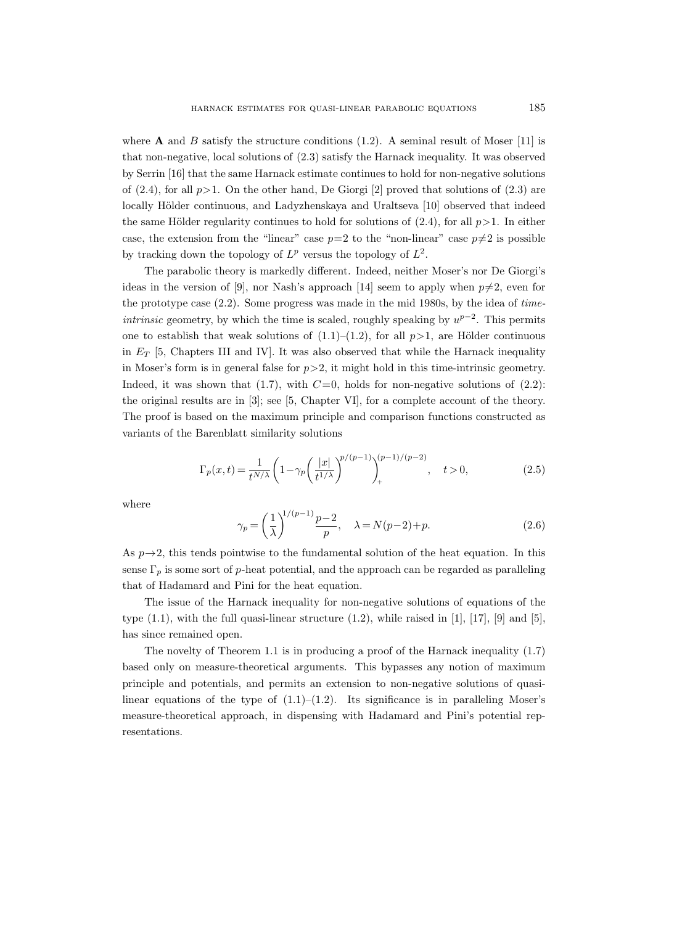where **A** and *B* satisfy the structure conditions  $(1.2)$ . A seminal result of Moser [11] is that non-negative, local solutions of (2.3) satisfy the Harnack inequality. It was observed by Serrin [16] that the same Harnack estimate continues to hold for non-negative solutions of (2.4), for all  $p>1$ . On the other hand, De Giorgi [2] proved that solutions of (2.3) are locally Hölder continuous, and Ladyzhenskaya and Uraltseva [10] observed that indeed the same Hölder regularity continues to hold for solutions of  $(2.4)$ , for all  $p>1$ . In either case, the extension from the "linear" case  $p=2$  to the "non-linear" case  $p\neq2$  is possible by tracking down the topology of  $L^p$  versus the topology of  $L^2$ .

The parabolic theory is markedly different. Indeed, neither Moser's nor De Giorgi's ideas in the version of [9], nor Nash's approach [14] seem to apply when  $p\neq 2$ , even for the prototype case (2.2). Some progress was made in the mid 1980s, by the idea of time*intrinsic* geometry, by which the time is scaled, roughly speaking by  $u^{p-2}$ . This permits one to establish that weak solutions of  $(1.1)–(1.2)$ , for all  $p>1$ , are Hölder continuous in  $E_T$  [5, Chapters III and IV]. It was also observed that while the Harnack inequality in Moser's form is in general false for  $p>2$ , it might hold in this time-intrinsic geometry. Indeed, it was shown that  $(1.7)$ , with  $C=0$ , holds for non-negative solutions of  $(2.2)$ : the original results are in [3]; see [5, Chapter VI], for a complete account of the theory. The proof is based on the maximum principle and comparison functions constructed as variants of the Barenblatt similarity solutions

$$
\Gamma_p(x,t) = \frac{1}{t^{N/\lambda}} \left( 1 - \gamma_p \left( \frac{|x|}{t^{1/\lambda}} \right)^{p/(p-1)} \right)_+^{(p-1)/(p-2)}, \quad t > 0,
$$
\n(2.5)

where

$$
\gamma_p = \left(\frac{1}{\lambda}\right)^{1/(p-1)} \frac{p-2}{p}, \quad \lambda = N(p-2) + p. \tag{2.6}
$$

As  $p\rightarrow 2$ , this tends pointwise to the fundamental solution of the heat equation. In this sense  $\Gamma_p$  is some sort of p-heat potential, and the approach can be regarded as paralleling that of Hadamard and Pini for the heat equation.

The issue of the Harnack inequality for non-negative solutions of equations of the type  $(1.1)$ , with the full quasi-linear structure  $(1.2)$ , while raised in [1], [17], [9] and [5], has since remained open.

The novelty of Theorem 1.1 is in producing a proof of the Harnack inequality (1.7) based only on measure-theoretical arguments. This bypasses any notion of maximum principle and potentials, and permits an extension to non-negative solutions of quasilinear equations of the type of  $(1.1)$ – $(1.2)$ . Its significance is in paralleling Moser's measure-theoretical approach, in dispensing with Hadamard and Pini's potential representations.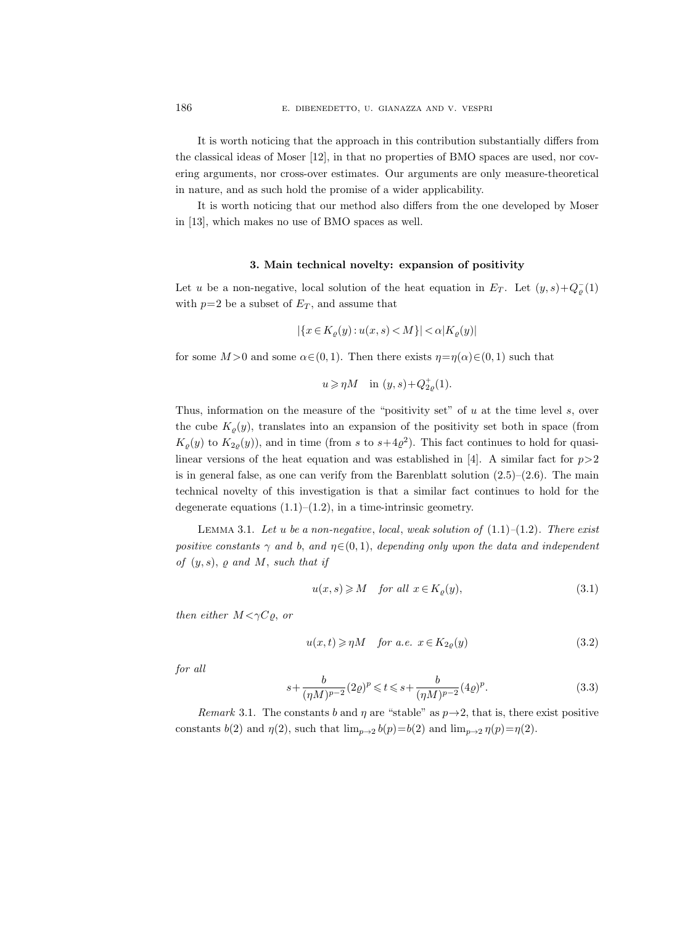It is worth noticing that the approach in this contribution substantially differs from the classical ideas of Moser [12], in that no properties of BMO spaces are used, nor covering arguments, nor cross-over estimates. Our arguments are only measure-theoretical in nature, and as such hold the promise of a wider applicability.

It is worth noticing that our method also differs from the one developed by Moser in [13], which makes no use of BMO spaces as well.

#### 3. Main technical novelty: expansion of positivity

Let u be a non-negative, local solution of the heat equation in  $E_T$ . Let  $(y, s) + Q_{\varrho}(1)$ with  $p=2$  be a subset of  $E_T$ , and assume that

$$
|\{x \in K_{\varrho}(y) : u(x, s) < M\}| < \alpha |K_{\varrho}(y)|
$$

for some  $M > 0$  and some  $\alpha \in (0, 1)$ . Then there exists  $\eta = \eta(\alpha) \in (0, 1)$  such that

$$
u\geqslant \eta M\quad\text{in }(y,s)+Q_{2\varrho}^{+}(1).
$$

Thus, information on the measure of the "positivity set" of  $u$  at the time level  $s$ , over the cube  $K_{\varrho}(y)$ , translates into an expansion of the positivity set both in space (from  $K_{\varrho}(y)$  to  $K_{2\varrho}(y)$ , and in time (from s to  $s+4\varrho^2$ ). This fact continues to hold for quasilinear versions of the heat equation and was established in [4]. A similar fact for  $p>2$ is in general false, as one can verify from the Barenblatt solution  $(2.5)-(2.6)$ . The main technical novelty of this investigation is that a similar fact continues to hold for the degenerate equations  $(1.1)$ – $(1.2)$ , in a time-intrinsic geometry.

LEMMA 3.1. Let u be a non-negative, local, weak solution of  $(1.1)$ – $(1.2)$ . There exist positive constants  $\gamma$  and b, and  $\eta \in (0, 1)$ , depending only upon the data and independent of  $(y, s)$ ,  $\varrho$  and M, such that if

$$
u(x,s) \geqslant M \quad \text{for all } x \in K_{\varrho}(y), \tag{3.1}
$$

then either  $M < \gamma C \rho$ , or

$$
u(x,t) \geqslant \eta M \quad \text{for a.e. } x \in K_{2\varrho}(y) \tag{3.2}
$$

for all

$$
s + \frac{b}{(\eta M)^{p-2}} (2\varrho)^p \leqslant t \leqslant s + \frac{b}{(\eta M)^{p-2}} (4\varrho)^p. \tag{3.3}
$$

Remark 3.1. The constants b and  $\eta$  are "stable" as  $p \rightarrow 2$ , that is, there exist positive constants  $b(2)$  and  $\eta(2)$ , such that  $\lim_{p\to 2} b(p)=b(2)$  and  $\lim_{p\to 2} \eta(p)=\eta(2)$ .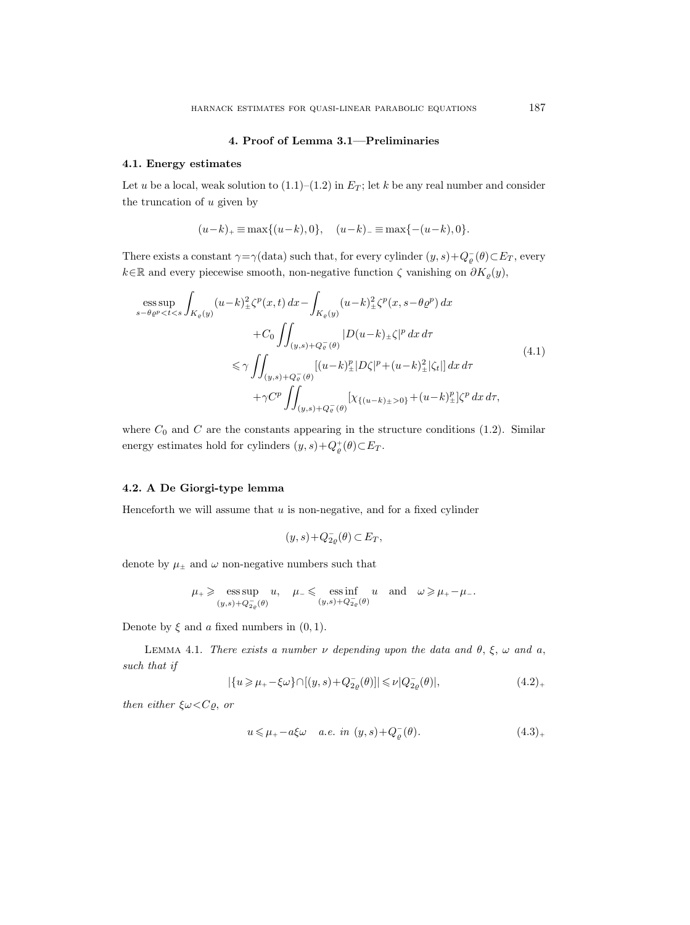# 4. Proof of Lemma 3.1—Preliminaries

## 4.1. Energy estimates

Let u be a local, weak solution to  $(1.1)$ – $(1.2)$  in  $E_T$ ; let k be any real number and consider the truncation of  $u$  given by

$$
(u-k)_{+} \equiv \max\{(u-k),0\}, \quad (u-k)_{-} \equiv \max\{-(u-k),0\}.
$$

There exists a constant  $\gamma = \gamma(\text{data})$  such that, for every cylinder  $(y, s) + Q_{\varrho}^{-}(\theta) \subset E_T$ , every  $k∈ℝ$  and every piecewise smooth, non-negative function  $\zeta$  vanishing on  $\partial K_{\varrho}(y)$ ,

$$
\begin{split} \mathop{\mathrm{ess\, sup}}_{s-\theta\varrho^{p} < t < s} & \int_{K_{\varrho}(y)} (u-k)_{\pm}^{2} \zeta^{p}(x,t) \, dx - \int_{K_{\varrho}(y)} (u-k)_{\pm}^{2} \zeta^{p}(x,s-\theta\varrho^{p}) \, dx \\ & + C_{0} \iint_{(y,s)+Q_{\varrho}^{-}(\theta)} |D(u-k)_{\pm}\zeta|^{p} \, dx \, d\tau \\ & \leq \gamma \iint_{(y,s)+Q_{\varrho}^{-}(\theta)} [(u-k)_{\pm}^{p}|D\zeta|^{p} + (u-k)_{\pm}^{2}|\zeta_{t}|] \, dx \, d\tau \\ & + \gamma C^{p} \iint_{(y,s)+Q_{\varrho}^{-}(\theta)} [\chi_{\{(u-k)_{\pm} > 0\}} + (u-k)_{\pm}^{p}]\zeta^{p} \, dx \, d\tau, \end{split} \tag{4.1}
$$

where  $C_0$  and C are the constants appearing in the structure conditions (1.2). Similar energy estimates hold for cylinders  $(y, s) + Q_{\varrho}^{+}(\theta) \subset E_T$ .

## 4.2. A De Giorgi-type lemma

Henceforth we will assume that  $u$  is non-negative, and for a fixed cylinder

$$
(y,s)+Q_{2\varrho}^-(\theta)\subset E_T,
$$

denote by  $\mu_\pm$  and  $\omega$  non-negative numbers such that

$$
\mu_+ \geqslant \mathop{\rm ess\,sup}_{(y,s)+Q_{2\varrho}^-(\theta)} u,\quad \mu_- \leqslant \mathop{\rm ess\,inf}_{(y,s)+Q_{2\varrho}^-(\theta)} u \quad \text{and}\quad \omega \geqslant \mu_+ - \mu_-.
$$

Denote by  $\xi$  and  $\alpha$  fixed numbers in  $(0, 1)$ .

LEMMA 4.1. There exists a number  $\nu$  depending upon the data and  $\theta$ ,  $\xi$ ,  $\omega$  and  $\alpha$ , such that if

$$
|\{u \ge \mu_+ - \xi \omega\} \cap [(y, s) + Q_{2\varrho}^-(\theta)]| \le \nu |Q_{2\varrho}^-(\theta)|, \tag{4.2}_+
$$

then either  $\xi \omega \langle C\rho, \, or$ 

$$
u \leq \mu_+ - a\xi\omega \quad a.e. \infty \quad (y, s) + Q_{\varrho}(\theta). \tag{4.3}
$$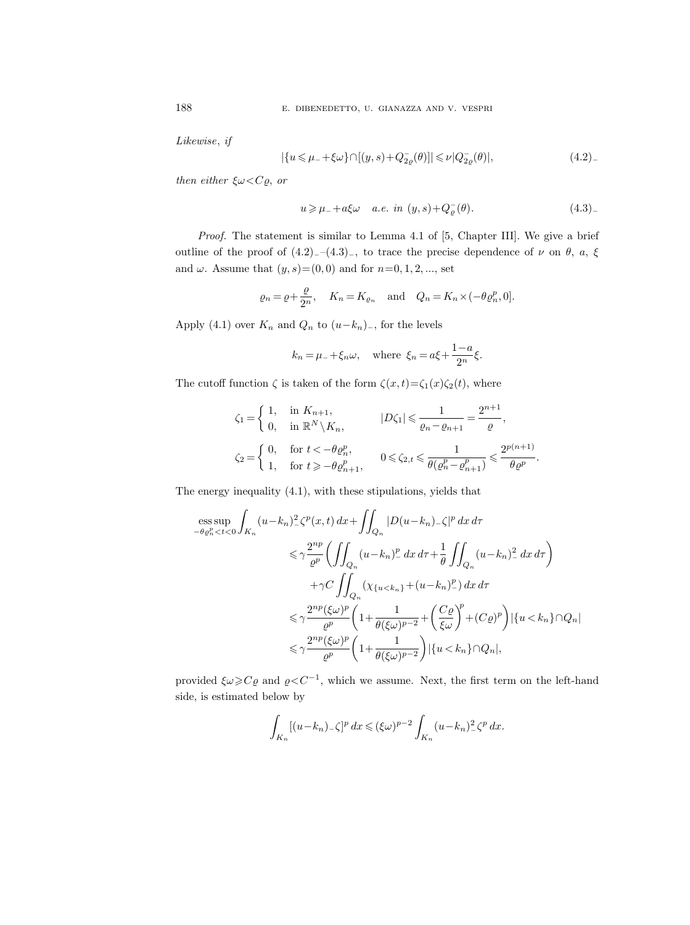Likewise, if

$$
|\{u \le \mu_- + \xi \omega\} \cap [(y, s) + Q_{2\varrho}^-(\theta)]| \le \nu |Q_{2\varrho}^-(\theta)|, \tag{4.2}
$$

then either  $\xi \omega \langle C\rho, \text{ or} \rangle$ 

$$
u \geqslant \mu_{-} + a\xi\omega \quad a.e. \ in \ (y, s) + Q_{\varrho}^{-}(\theta). \tag{4.3}
$$

Proof. The statement is similar to Lemma 4.1 of [5, Chapter III]. We give a brief outline of the proof of  $(4.2)$ <sub>−</sub>– $(4.3)$ <sub>−</sub>, to trace the precise dependence of  $\nu$  on  $\theta$ ,  $\alpha$ ,  $\xi$ and  $\omega$ . Assume that  $(y, s) = (0, 0)$  and for  $n=0, 1, 2, \dots$ , set

$$
\varrho_n = \varrho + \frac{\varrho}{2^n}, \quad K_n = K_{\varrho_n} \quad \text{and} \quad Q_n = K_n \times (-\theta \varrho_n^p, 0].
$$

Apply (4.1) over  $K_n$  and  $Q_n$  to  $(u-k_n)$ <sub>-</sub>, for the levels

$$
k_n = \mu_{-} + \xi_n \omega
$$
, where  $\xi_n = a\xi + \frac{1-a}{2^n}\xi$ .

The cutoff function  $\zeta$  is taken of the form  $\zeta(x,t)=\zeta_1(x)\zeta_2(t)$ , where

$$
\zeta_1 = \begin{cases}\n1, & \text{in } K_{n+1}, \\
0, & \text{in } \mathbb{R}^N \setminus K_n, \\
\zeta_2 = \begin{cases}\n0, & \text{for } t < -\theta \varrho_n^p, \\
1, & \text{for } t \ge -\theta \varrho_{n+1}^p,\n\end{cases} \qquad 0 \le \zeta_{2,t} \le \frac{1}{\theta(\varrho_n^p - \varrho_{n+1}^p)} \le \frac{2^{p(n+1)}}{\theta \varrho^p}.\n\end{cases}
$$

The energy inequality (4.1), with these stipulations, yields that

$$
\begin{split} \underset{-\theta\varrho_n^p < t < 0} \int_{K_n} (u - k_n)^2 \zeta^p(x, t) \, dx + \iint_{Q_n} |D(u - k_n) - \zeta|^p \, dx \, d\tau \\ &\leq \gamma \frac{2^{np}}{\varrho^p} \bigg( \iint_{Q_n} (u - k_n)^p \, dx \, d\tau + \frac{1}{\theta} \iint_{Q_n} (u - k_n)^2 \, dx \, d\tau \bigg) \\ &+ \gamma C \iint_{Q_n} \left( \chi_{\{u < k_n\}} + (u - k_n)^p \right) \, dx \, d\tau \\ &\leq \gamma \frac{2^{np} (\xi\omega)^p}{\varrho^p} \bigg( 1 + \frac{1}{\theta(\xi\omega)^{p-2}} + \left( \frac{C\varrho}{\xi\omega} \right)^p + (C\varrho)^p \bigg) \left[ \{u < k_n\} \cap Q_n \right] \\ &\leq \gamma \frac{2^{np} (\xi\omega)^p}{\varrho^p} \bigg( 1 + \frac{1}{\theta(\xi\omega)^{p-2}} \bigg) \left| \{u < k_n\} \cap Q_n \right|, \end{split}
$$

provided  $\xi\omega\geqslant C\varrho$  and  $\varrho < C^{-1}$ , which we assume. Next, the first term on the left-hand side, is estimated below by

$$
\int_{K_n} [(u-k_n)_-\zeta]^p dx \le (\xi \omega)^{p-2} \int_{K_n} (u-k_n)_-^2 \zeta^p dx.
$$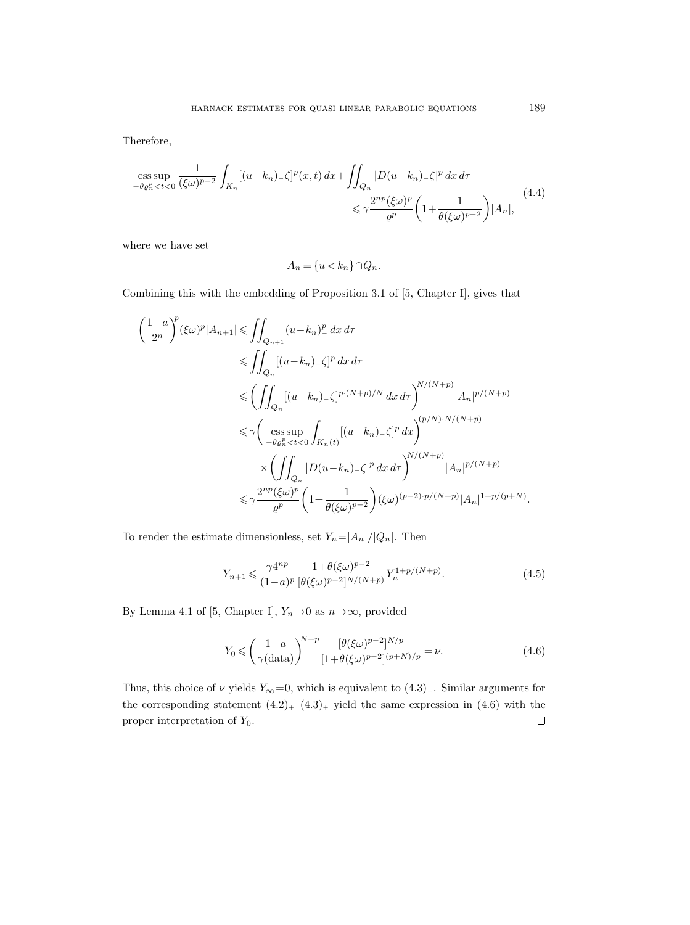Therefore,

$$
\begin{split} \underset{-\theta \varrho_{n}^{p} < t < 0} \frac{1}{(\xi \omega)^{p-2}} \int_{K_{n}} [(u-k_{n})_{-} \zeta]^{p} (x, t) \, dx + \iint_{Q_{n}} |D(u-k_{n})_{-} \zeta|^{p} \, dx \, d\tau \\ &\leq \gamma \frac{2^{np} (\xi \omega)^{p}}{\varrho^{p}} \left( 1 + \frac{1}{\theta(\xi \omega)^{p-2}} \right) |A_{n}|, \end{split} \tag{4.4}
$$

where we have set

$$
A_n = \{u < k_n\} \cap Q_n.
$$

Combining this with the embedding of Proposition 3.1 of [5, Chapter I], gives that

$$
\left(\frac{1-a}{2^n}\right)^p (\xi \omega)^p |A_{n+1}| \leq \iint_{Q_{n+1}} (u - k_n)^p dx d\tau
$$
  
\n
$$
\leq \iint_{Q_n} [(u - k_n) - \zeta]^p dx d\tau
$$
  
\n
$$
\leq \left(\iint_{Q_n} [(u - k_n) - \zeta]^{p \cdot (N+p)/N} dx d\tau\right)^{N/(N+p)} |A_n|^{p/(N+p)}
$$
  
\n
$$
\leq \gamma \left(\operatorname*{ess\,sup}_{-\theta \varrho_n^p < t < 0} \int_{K_n(t)} [(u - k_n) - \zeta]^p dx\right)^{(p/N) \cdot N/(N+p)}
$$
  
\n
$$
\times \left(\iint_{Q_n} |D(u - k_n) - \zeta|^p dx d\tau\right)^{N/(N+p)} |A_n|^{p/(N+p)}
$$
  
\n
$$
\leq \gamma \frac{2^{np} (\xi \omega)^p}{\varrho^p} \left(1 + \frac{1}{\theta(\xi \omega)^{p-2}}\right) (\xi \omega)^{(p-2)p/(N+p)} |A_n|^{1+p/(p+N)}.
$$

To render the estimate dimensionless, set  $Y_n = |A_n|/|Q_n|$ . Then

$$
Y_{n+1} \leq \frac{\gamma 4^{np}}{(1-a)^p} \frac{1 + \theta(\xi \omega)^{p-2}}{[\theta(\xi \omega)^{p-2}]^{N/(N+p)}} Y_n^{1+p/(N+p)}.
$$
\n(4.5)

By Lemma 4.1 of [5, Chapter I],  $Y_n \rightarrow 0$  as  $n \rightarrow \infty$ , provided

$$
Y_0 \leqslant \left(\frac{1-a}{\gamma(\text{data})}\right)^{N+p} \frac{[\theta(\xi\omega)^{p-2}]^{N/p}}{[1+\theta(\xi\omega)^{p-2}](p+N)/p} = \nu.
$$
\n
$$
(4.6)
$$

Thus, this choice of  $\nu$  yields  $Y_{\infty}=0$ , which is equivalent to  $(4.3)$ . Similar arguments for the corresponding statement  $(4.2)_{+}$ – $(4.3)_{+}$  yield the same expression in  $(4.6)$  with the proper interpretation of  $Y_0$ .  $\Box$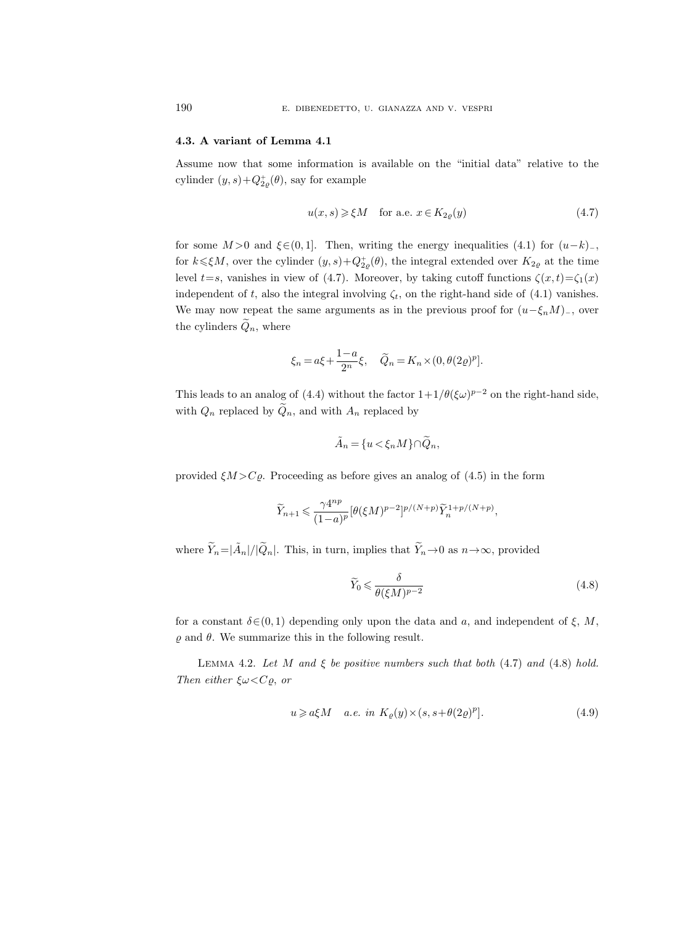## 4.3. A variant of Lemma 4.1

Assume now that some information is available on the "initial data" relative to the cylinder  $(y, s) + Q_{2\varrho}^{\dagger}(\theta)$ , say for example

$$
u(x,s) \geq \xi M \quad \text{for a.e. } x \in K_{2\varrho}(y) \tag{4.7}
$$

for some  $M > 0$  and  $\xi \in (0, 1]$ . Then, writing the energy inequalities  $(4.1)$  for  $(u-k)$ <sub>-</sub>, for  $k \leq \xi M$ , over the cylinder  $(y, s) + Q_{2\varrho}^+(\theta)$ , the integral extended over  $K_{2\varrho}$  at the time level  $t=s$ , vanishes in view of (4.7). Moreover, by taking cutoff functions  $\zeta(x,t)=\zeta_1(x)$ independent of t, also the integral involving  $\zeta_t$ , on the right-hand side of (4.1) vanishes. We may now repeat the same arguments as in the previous proof for  $(u-\xi_nM)_-$ , over the cylinders  $\tilde{Q}_n$ , where

$$
\xi_n = a\xi + \frac{1-a}{2^n}\xi, \quad \widetilde{Q}_n = K_n \times (0, \theta(2\varrho)^p).
$$

This leads to an analog of (4.4) without the factor  $1+1/\theta(\xi\omega)^{p-2}$  on the right-hand side, with  $Q_n$  replaced by  $\widetilde{Q}_n$ , and with  $A_n$  replaced by

$$
\tilde{A}_n = \{u < \xi_n M\} \cap \tilde{Q}_n,
$$

provided  $\xi M > C\varrho$ . Proceeding as before gives an analog of (4.5) in the form

$$
\widetilde Y_{n+1} \leqslant \frac{\gamma 4^{np}}{(1-a)^p}[\theta(\xi M)^{p-2}]^{p/(N+p)} \widetilde Y_n^{1+p/(N+p)},
$$

where  $\tilde{Y}_n = |\tilde{A}_n|/|\tilde{Q}_n|$ . This, in turn, implies that  $\tilde{Y}_n \to 0$  as  $n \to \infty$ , provided

$$
\widetilde{Y}_0 \leqslant \frac{\delta}{\theta(\xi M)^{p-2}}\tag{4.8}
$$

for a constant  $\delta \in (0, 1)$  depending only upon the data and a, and independent of  $\xi$ , M,  $\rho$  and  $\theta$ . We summarize this in the following result.

LEMMA 4.2. Let M and  $\xi$  be positive numbers such that both (4.7) and (4.8) hold. Then either  $\xi \omega \langle C\rho, \overline{\rho} \rangle$ 

$$
u \geqslant a\xi M \quad a.e. \ in \ K_{\varrho}(y) \times (s, s + \theta(2\varrho)^p). \tag{4.9}
$$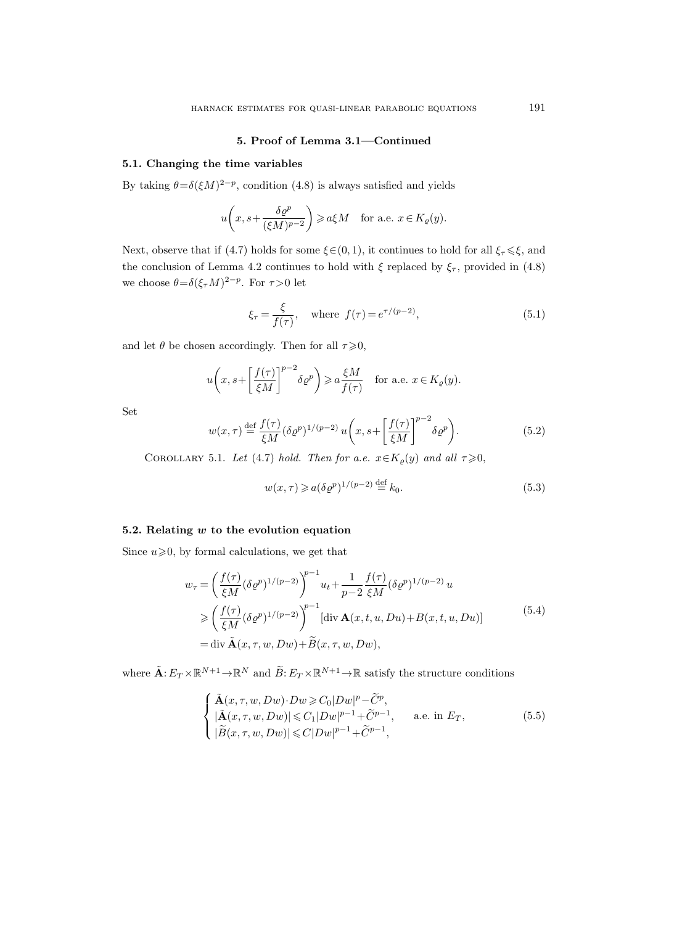## 5. Proof of Lemma 3.1—Continued

## 5.1. Changing the time variables

By taking  $\theta = \delta(\xi M)^{2-p}$ , condition (4.8) is always satisfied and yields

$$
u\left(x, s+\frac{\delta \varrho^p}{(\xi M)^{p-2}}\right) \geqslant a\xi M \quad \text{for a.e. } x \in K_{\varrho}(y).
$$

Next, observe that if (4.7) holds for some  $\xi \in (0, 1)$ , it continues to hold for all  $\xi_{\tau} \leq \xi$ , and the conclusion of Lemma 4.2 continues to hold with  $\xi$  replaced by  $\xi_{\tau}$ , provided in (4.8) we choose  $\theta = \delta(\xi_\tau M)^{2-p}$ . For  $\tau > 0$  let

$$
\xi_{\tau} = \frac{\xi}{f(\tau)}, \text{ where } f(\tau) = e^{\tau/(p-2)},
$$
\n(5.1)

and let  $\theta$  be chosen accordingly. Then for all  $\tau \geq 0$ ,

$$
u\bigg(x, s+\bigg[\frac{f(\tau)}{\xi M}\bigg]^{p-2} \delta \varrho^p\bigg) \geqslant a \frac{\xi M}{f(\tau)} \quad \text{for a.e. } x \in K_{\varrho}(y).
$$

Set

$$
w(x,\tau) \stackrel{\text{def}}{=} \frac{f(\tau)}{\xi M} (\delta \varrho^p)^{1/(p-2)} u\left(x, s + \left[\frac{f(\tau)}{\xi M}\right]^{p-2} \delta \varrho^p\right).
$$
 (5.2)

COROLLARY 5.1. Let (4.7) hold. Then for a.e.  $x \in K_{\varrho}(y)$  and all  $\tau \geqslant 0$ ,

$$
w(x,\tau) \geqslant a(\delta \varrho^p)^{1/(p-2)} \stackrel{\text{def}}{=} k_0. \tag{5.3}
$$

## 5.2. Relating  $w$  to the evolution equation

Since  $u \ge 0$ , by formal calculations, we get that

$$
w_{\tau} = \left(\frac{f(\tau)}{\xi M} (\delta \varrho^{p})^{1/(p-2)}\right)^{p-1} u_{t} + \frac{1}{p-2} \frac{f(\tau)}{\xi M} (\delta \varrho^{p})^{1/(p-2)} u
$$
  
\n
$$
\geqslant \left(\frac{f(\tau)}{\xi M} (\delta \varrho^{p})^{1/(p-2)}\right)^{p-1} [\text{div } \mathbf{A}(x, t, u, Du) + B(x, t, u, Du)]
$$
  
\n
$$
= \text{div } \tilde{\mathbf{A}}(x, \tau, w, Dw) + \tilde{B}(x, \tau, w, Dw), \tag{5.4}
$$

where  $\tilde{\mathbf{A}}: E_T \times \mathbb{R}^{N+1} \to \mathbb{R}^N$  and  $\tilde{B}: E_T \times \mathbb{R}^{N+1} \to \mathbb{R}$  satisfy the structure conditions

$$
\begin{cases}\n\tilde{\mathbf{A}}(x,\tau,w,Dw)\cdot Dw \geqslant C_0|Dw|^p - \tilde{C}^p, \\
|\tilde{\mathbf{A}}(x,\tau,w,Dw)| \leqslant C_1|Dw|^{p-1} + \tilde{C}^{p-1}, \quad \text{a.e. in } E_T, \\
|\tilde{B}(x,\tau,w,Dw)| \leqslant C|Dw|^{p-1} + \tilde{C}^{p-1},\n\end{cases} (5.5)
$$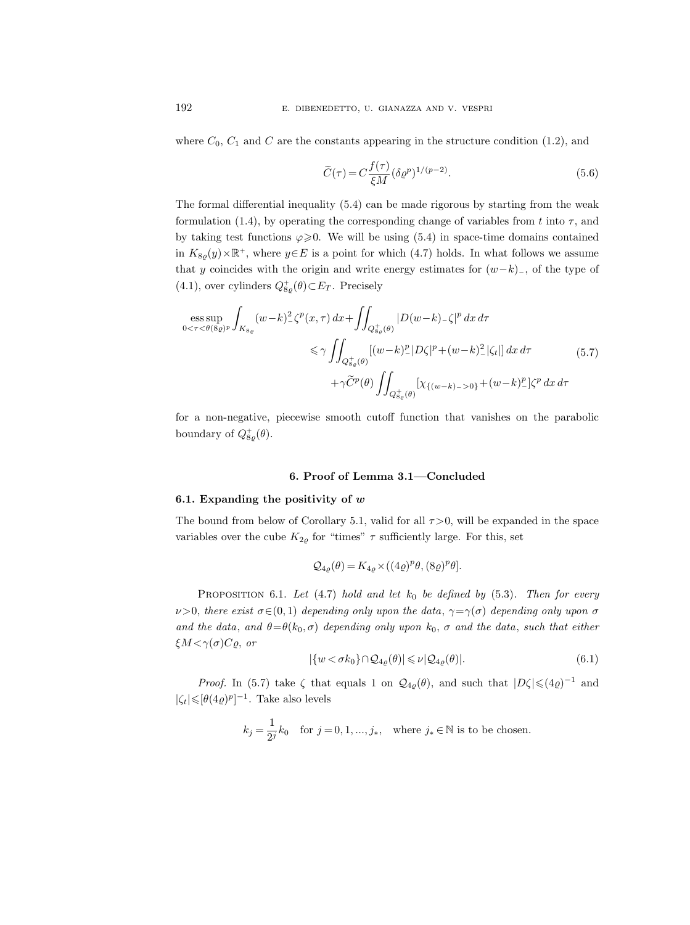where  $C_0$ ,  $C_1$  and C are the constants appearing in the structure condition (1.2), and

$$
\widetilde{C}(\tau) = C \frac{f(\tau)}{\xi M} (\delta \varrho^p)^{1/(p-2)}.
$$
\n(5.6)

The formal differential inequality (5.4) can be made rigorous by starting from the weak formulation (1.4), by operating the corresponding change of variables from t into  $\tau$ , and by taking test functions  $\varphi \geqslant 0$ . We will be using (5.4) in space-time domains contained in  $K_{8g}(y) \times \mathbb{R}^+$ , where  $y \in E$  is a point for which (4.7) holds. In what follows we assume that y coincides with the origin and write energy estimates for  $(w-k)$ , of the type of  $(4.1)$ , over cylinders  $Q_{8\rho}^+(\theta) \subset E_T$ . Precisely

$$
\begin{split} \n\text{ess}\sup_{0 < \tau < \theta(8\varrho)^p} \int_{K_{8\varrho}} (w - k)^2 \zeta^p(x, \tau) \, dx + \iint_{Q_{8\varrho}^+(\theta)} |D(w - k) - \zeta|^p \, dx \, d\tau \\ \n&\leq \gamma \iint_{Q_{8\varrho}^+(\theta)} [(w - k)^p |D\zeta|^p + (w - k)^2 |\zeta_t|] \, dx \, d\tau \\ \n&\quad + \gamma \widetilde{C}^p(\theta) \iint_{Q_{8\varrho}^+(\theta)} \left[ \chi_{\{(w - k) - \geq 0\}} + (w - k)^p \right] \zeta^p \, dx \, d\tau \n\end{split} \tag{5.7}
$$

for a non-negative, piecewise smooth cutoff function that vanishes on the parabolic boundary of  $Q_{8\rho}^{+}(\theta)$ .

## 6. Proof of Lemma 3.1—Concluded

#### 6.1. Expanding the positivity of  $w$

The bound from below of Corollary 5.1, valid for all  $\tau > 0$ , will be expanded in the space variables over the cube  $K_{2\varrho}$  for "times"  $\tau$  sufficiently large. For this, set

$$
\mathcal{Q}_{4\varrho}(\theta) = K_{4\varrho} \times ((4\varrho)^p \theta, (8\varrho)^p \theta].
$$

PROPOSITION 6.1. Let  $(4.7)$  hold and let  $k_0$  be defined by  $(5.3)$ . Then for every  $\nu>0$ , there exist  $\sigma\in(0,1)$  depending only upon the data,  $\gamma=\gamma(\sigma)$  depending only upon  $\sigma$ and the data, and  $\theta = \theta(k_0, \sigma)$  depending only upon  $k_0$ ,  $\sigma$  and the data, such that either  $\xi M < \gamma(\sigma)C\varrho$ , or

$$
|\{w < \sigma k_0\} \cap \mathcal{Q}_{4\varrho}(\theta)| \leqslant \nu |\mathcal{Q}_{4\varrho}(\theta)|. \tag{6.1}
$$

*Proof.* In (5.7) take  $\zeta$  that equals 1 on  $\mathcal{Q}_{4\varrho}(\theta)$ , and such that  $|D\zeta| \leqslant (4\varrho)^{-1}$  and  $|\zeta_t| \leqslant [\theta(4\varrho)^p]^{-1}$ . Take also levels

$$
k_j = \frac{1}{2^j} k_0 \quad \text{for } j = 0, 1, \dots, j_*, \quad \text{where } j_* \in \mathbb{N} \text{ is to be chosen.}
$$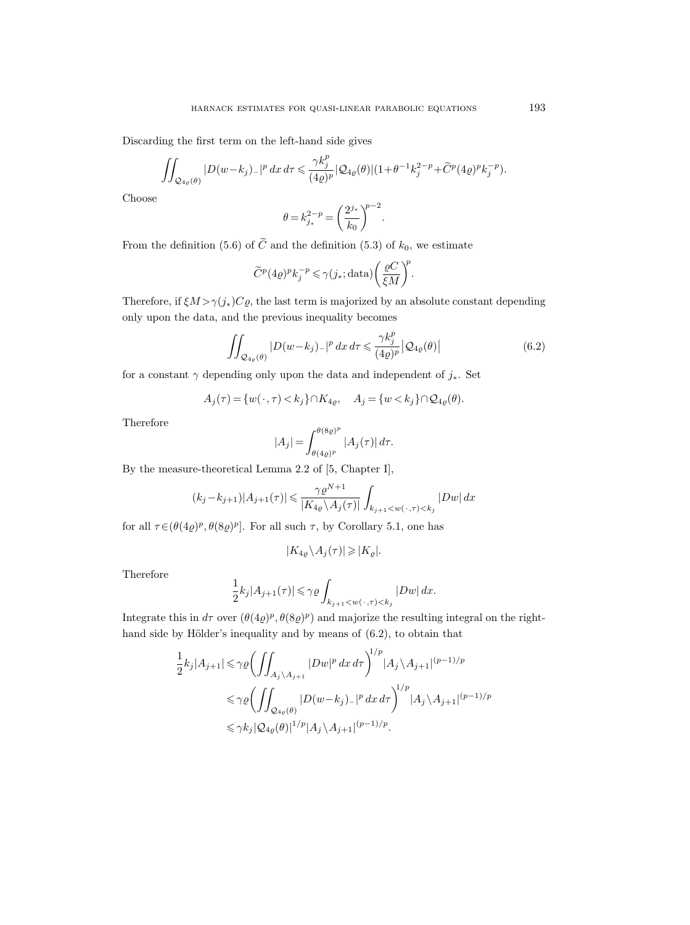Discarding the first term on the left-hand side gives

$$
\iint_{\mathcal{Q}_{4\varrho}(\theta)} |D(w-k_j)_-|^p\,dx\,d\tau \leqslant \frac{\gamma k_j^p}{(4\varrho)^p}|\mathcal{Q}_{4\varrho}(\theta)|(1+\theta^{-1}k_j^{2-p}+\widetilde{C}^p(4\varrho)^pk_j^{-p}).
$$

Choose

$$
\theta = k_{j_*}^{2-p} = \left(\frac{2^{j_*}}{k_0}\right)^{p-2}.
$$

From the definition (5.6) of  $\tilde{C}$  and the definition (5.3) of  $k_0$ , we estimate

$$
\widetilde{C}^p(4\varrho)^p k_j^{-p} \leq \gamma(j_*; \text{data}) \bigg(\frac{\varrho C}{\xi M}\bigg)^p.
$$

Therefore, if  $\xi M > \gamma(j_*)C\varrho$ , the last term is majorized by an absolute constant depending only upon the data, and the previous inequality becomes

$$
\iint_{\mathcal{Q}_{4\varrho}(\theta)} |D(w-k_j)_-|^p \, dx \, d\tau \leq \frac{\gamma k_j^p}{(4\varrho)^p} \left| \mathcal{Q}_{4\varrho}(\theta) \right| \tag{6.2}
$$

for a constant  $\gamma$  depending only upon the data and independent of  $j_*$ . Set

$$
A_j(\tau) = \{w(\cdot,\tau) < k_j\} \cap K_{4\varrho}, \quad A_j = \{w < k_j\} \cap \mathcal{Q}_{4\varrho}(\theta).
$$

Therefore

$$
|A_j| = \int_{\theta(4\varrho)^p}^{\theta(8\varrho)^p} |A_j(\tau)| d\tau.
$$

By the measure-theoretical Lemma 2.2 of [5, Chapter I],

$$
(k_j - k_{j+1})|A_{j+1}(\tau)| \le \frac{\gamma \varrho^{N+1}}{|K_{4\varrho} \setminus A_j(\tau)|} \int_{k_{j+1} < w(\cdot, \tau) < k_j} |Dw| \, dx
$$

for all  $\tau \in (\theta(4\varrho)^p, \theta(8\varrho)^p]$ . For all such  $\tau$ , by Corollary 5.1, one has

$$
|K_{4\varrho} \backslash A_j(\tau)| \geqslant |K_\varrho|.
$$

Therefore

$$
\frac{1}{2}k_j|A_{j+1}(\tau)| \leqslant \gamma \varrho \int_{k_{j+1} < w(\,\cdot\,,\tau)< k_j} |Dw| \, dx.
$$

Integrate this in  $d\tau$  over  $(\theta(4\varrho)^p, \theta(8\varrho)^p)$  and majorize the resulting integral on the righthand side by Hölder's inequality and by means of  $(6.2)$ , to obtain that

$$
\frac{1}{2}k_j|A_{j+1}| \leq \gamma \varrho \left( \iint_{A_j \setminus A_{j+1}} |Dw|^p dx \, d\tau \right)^{1/p} |A_j \setminus A_{j+1}|^{(p-1)/p}
$$
\n
$$
\leq \gamma \varrho \left( \iint_{\mathcal{Q}_{4\varrho}(\theta)} |D(w-k_j)_-|^p dx \, d\tau \right)^{1/p} |A_j \setminus A_{j+1}|^{(p-1)/p}
$$
\n
$$
\leq \gamma k_j |\mathcal{Q}_{4\varrho}(\theta)|^{1/p} |A_j \setminus A_{j+1}|^{(p-1)/p}.
$$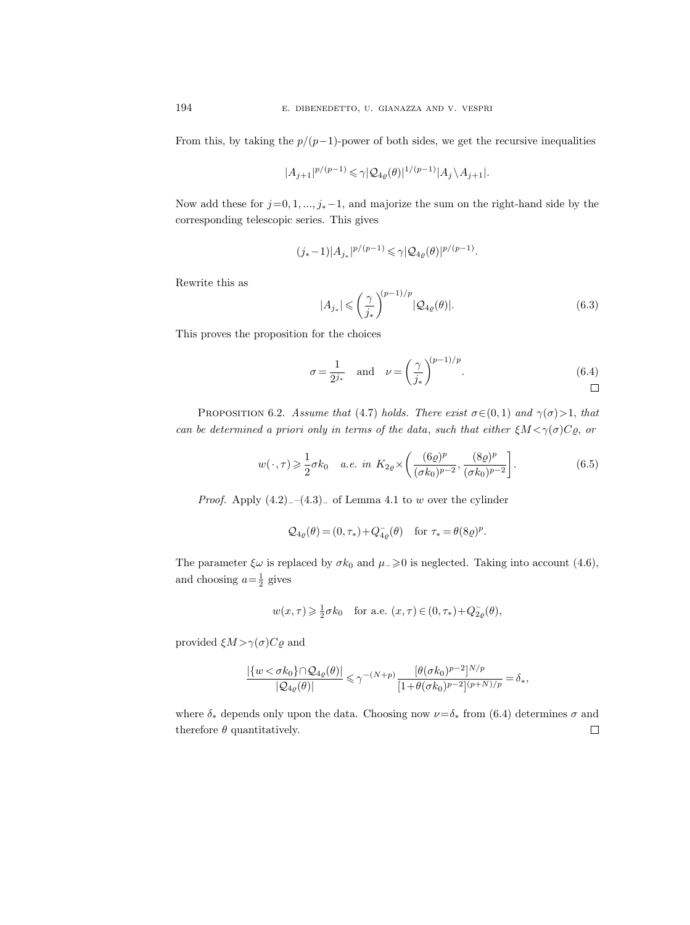From this, by taking the  $p/(p-1)$ -power of both sides, we get the recursive inequalities

$$
|A_{j+1}|^{p/(p-1)} \leqslant \gamma |\mathcal{Q}_{4\varrho}(\theta)|^{1/(p-1)} |A_j \backslash A_{j+1}|.
$$

Now add these for  $j=0, 1, ..., j_*-1$ , and majorize the sum on the right-hand side by the corresponding telescopic series. This gives

$$
(j_*-1)|A_{j_*}|^{p/(p-1)} \leqslant \gamma |\mathcal{Q}_{4\varrho}(\theta)|^{p/(p-1)}.
$$

Rewrite this as

$$
|A_{j_*}| \leqslant \left(\frac{\gamma}{j_*}\right)^{(p-1)/p} |\mathcal{Q}_{4\varrho}(\theta)|. \tag{6.3}
$$

This proves the proposition for the choices

$$
\sigma = \frac{1}{2^{j_*}} \quad \text{and} \quad \nu = \left(\frac{\gamma}{j_*}\right)^{(p-1)/p}.\tag{6.4}
$$

PROPOSITION 6.2. Assume that (4.7) holds. There exist  $\sigma \in (0,1)$  and  $\gamma(\sigma) > 1$ , that can be determined a priori only in terms of the data, such that either  $\xi M < \gamma(\sigma)C\rho$ , or

$$
w(\cdot, \tau) \geq \frac{1}{2}\sigma k_0 \quad a.e. \ in \ K_{2\varrho} \times \left(\frac{(6\varrho)^p}{(\sigma k_0)^{p-2}}, \frac{(8\varrho)^p}{(\sigma k_0)^{p-2}}\right). \tag{6.5}
$$

*Proof.* Apply  $(4.2)$ <sub>−</sub> $(4.3)$ <sub>−</sub> of Lemma 4.1 to w over the cylinder

$$
\mathcal{Q}_{4\varrho}(\theta) = (0,\tau_*) + Q_{4\varrho}^-(\theta) \quad \text{for } \tau_* = \theta(8\varrho)^p.
$$

The parameter  $\xi \omega$  is replaced by  $\sigma k_0$  and  $\mu_> \geq 0$  is neglected. Taking into account (4.6), and choosing  $a = \frac{1}{2}$  gives

$$
w(x,\tau)\geqslant \tfrac{1}{2}\sigma k_0\quad\text{for a.e. }(x,\tau)\in(0,\tau_*)+Q_{2\varrho}^-(\theta),
$$

provided  $\xi M > \gamma(\sigma) C \varrho$  and

$$
\frac{|\{w<\sigma k_0\}\cap Q_{4\varrho}(\theta)|}{|\mathcal Q_{4\varrho}(\theta)|}\leqslant \gamma^{-(N+p)}\frac{[\theta(\sigma k_0)^{p-2}]^{N/p}}{[1+\theta(\sigma k_0)^{p-2} ]^{(p+N)/p}}=\delta_*,
$$

where  $\delta_*$  depends only upon the data. Choosing now  $\nu = \delta_*$  from (6.4) determines  $\sigma$  and therefore  $\theta$  quantitatively.  $\Box$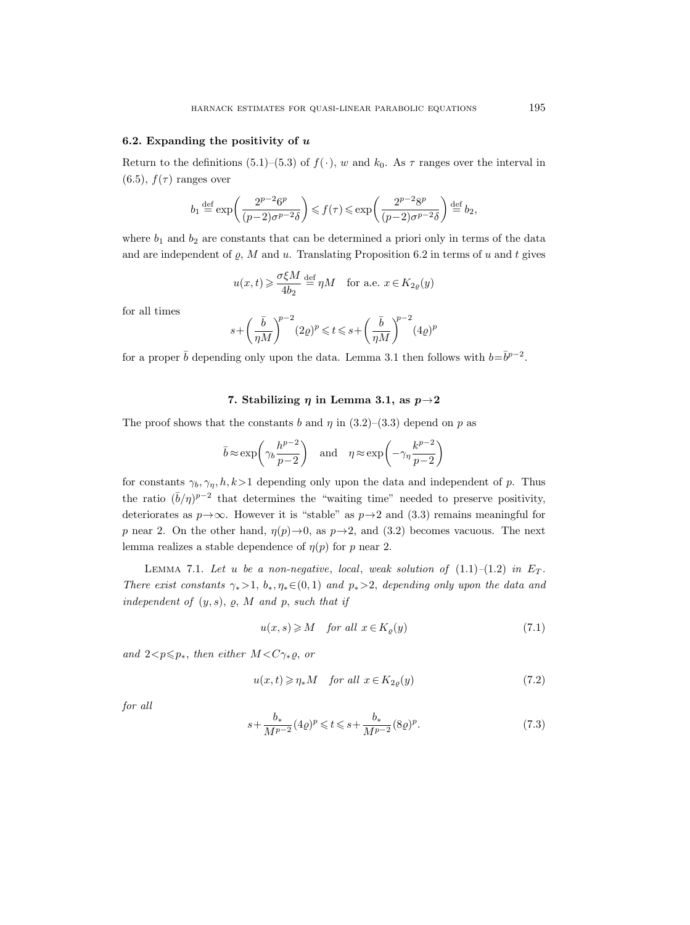#### 6.2. Expanding the positivity of  $u$

Return to the definitions (5.1)–(5.3) of  $f(\cdot)$ , w and  $k_0$ . As  $\tau$  ranges over the interval in  $(6.5)$ ,  $f(\tau)$  ranges over

$$
b_1 {\, \stackrel{\mathrm{def}}{=}\, } \exp\biggl( \frac{2^{p-2} 6^p}{(p-2) \sigma^{p-2} \delta} \biggr) \leqslant f(\tau) \leqslant \exp\biggl( \frac{2^{p-2} 8^p}{(p-2) \sigma^{p-2} \delta} \biggr) {\, \stackrel{\mathrm{def}}{=}\, } b_2,
$$

where  $b_1$  and  $b_2$  are constants that can be determined a priori only in terms of the data and are independent of  $\varrho$ , M and u. Translating Proposition 6.2 in terms of u and t gives

$$
u(x,t) \ge \frac{\sigma \xi M}{4b_2} \stackrel{\text{def}}{=} \eta M
$$
 for a.e.  $x \in K_{2\varrho}(y)$ 

for all times

$$
s + \bigg(\frac{\bar{b}}{\eta M}\bigg)^{\!p-2}(2\varrho)^p\leqslant t\leqslant s + \bigg(\frac{\bar{b}}{\eta M}\bigg)^{\!p-2}(4\varrho)^p
$$

for a proper  $\bar{b}$  depending only upon the data. Lemma 3.1 then follows with  $b=\bar{b}^{p-2}$ .

## 7. Stabilizing  $\eta$  in Lemma 3.1, as  $p\rightarrow 2$

The proof shows that the constants b and  $\eta$  in (3.2)–(3.3) depend on p as

$$
\bar{b} \approx \exp\left(\gamma_b \frac{h^{p-2}}{p-2}\right)
$$
 and  $\eta \approx \exp\left(-\gamma_\eta \frac{k^{p-2}}{p-2}\right)$ 

for constants  $\gamma_b, \gamma_\eta, h, k>1$  depending only upon the data and independent of p. Thus the ratio  $(\bar{b}/\eta)^{p-2}$  that determines the "waiting time" needed to preserve positivity, deteriorates as  $p\rightarrow\infty$ . However it is "stable" as  $p\rightarrow 2$  and (3.3) remains meaningful for p near 2. On the other hand,  $\eta(p) \rightarrow 0$ , as  $p \rightarrow 2$ , and (3.2) becomes vacuous. The next lemma realizes a stable dependence of  $\eta(p)$  for p near 2.

LEMMA 7.1. Let u be a non-negative, local, weak solution of  $(1.1)$ – $(1.2)$  in  $E_T$ . There exist constants  $\gamma_* > 1$ ,  $b_*, \eta_* \in (0,1)$  and  $p_* > 2$ , depending only upon the data and independent of  $(y, s)$ ,  $\varrho$ ,  $M$  and  $p$ , such that if

$$
u(x,s) \geqslant M \quad \text{for all } x \in K_{\varrho}(y) \tag{7.1}
$$

and  $2 < p \leq p_*$ , then either  $M < C \gamma_* \varrho$ , or

$$
u(x,t) \geqslant \eta_* M \quad \text{for all } x \in K_{2\varrho}(y) \tag{7.2}
$$

for all

$$
s + \frac{b_*}{M^{p-2}} (4\varrho)^p \leq t \leq s + \frac{b_*}{M^{p-2}} (8\varrho)^p. \tag{7.3}
$$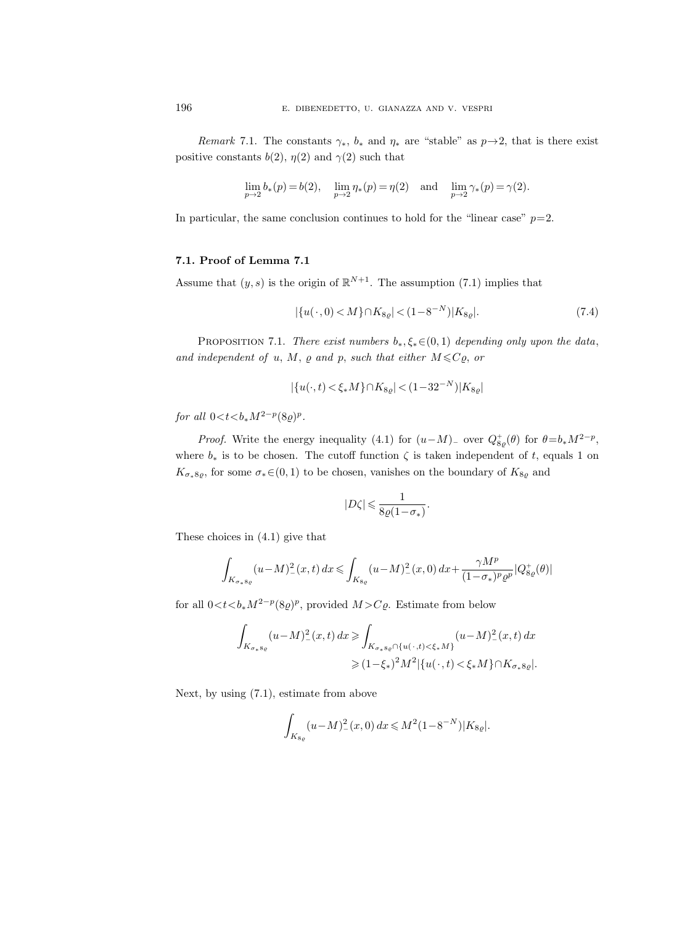Remark 7.1. The constants  $\gamma_*, b_*$  and  $\eta_*$  are "stable" as  $p\rightarrow 2$ , that is there exist positive constants  $b(2)$ ,  $\eta(2)$  and  $\gamma(2)$  such that

$$
\lim_{p \to 2} b_*(p) = b(2), \quad \lim_{p \to 2} \eta_*(p) = \eta(2) \quad \text{and} \quad \lim_{p \to 2} \gamma_*(p) = \gamma(2).
$$

In particular, the same conclusion continues to hold for the "linear case"  $p=2$ .

## 7.1. Proof of Lemma 7.1

Assume that  $(y, s)$  is the origin of  $\mathbb{R}^{N+1}$ . The assumption (7.1) implies that

$$
|\{u(\cdot,0) < M\} \cap K_{8\varrho}| < (1 - 8^{-N}) |K_{8\varrho}|.\tag{7.4}
$$

PROPOSITION 7.1. There exist numbers  $b_*, \xi_* \in (0,1)$  depending only upon the data, and independent of u, M,  $\varrho$  and p, such that either  $M \leqslant C\varrho$ , or

$$
|\{u(\cdot,t) < \xi_* M\} \cap K_{8\varrho}| < (1 - 32^{-N}) |K_{8\varrho}|
$$

for all  $0 < t < b_* M^{2-p} (8\varrho)^p$ .

*Proof.* Write the energy inequality (4.1) for  $(u-M)_-$  over  $Q_{8\rho}^+(\theta)$  for  $\theta = b_*M^{2-p}$ , where  $b_*$  is to be chosen. The cutoff function  $\zeta$  is taken independent of t, equals 1 on  $K_{\sigma_*8g}$ , for some  $\sigma_* \in (0,1)$  to be chosen, vanishes on the boundary of  $K_{8g}$  and

$$
|D\zeta|\leqslant\frac{1}{8\varrho(1-\sigma_*)}.
$$

These choices in (4.1) give that

$$
\int_{K_{\sigma_* 8\varrho}} (u-M)_-^2(x,t)\,dx \leqslant \int_{K_{8\varrho}} (u-M)_-^2(x,0)\,dx + \frac{\gamma M^p}{(1-\sigma_*)^p \varrho^p}|Q_{8\varrho}^+(\theta)|
$$

for all  $0 < t < b_*M^{2-p}(8\rho)^p$ , provided  $M > C\rho$ . Estimate from below

$$
\int_{K_{\sigma_* s_\varrho}} (u - M)_-^2(x, t) dx \ge \int_{K_{\sigma_* s_\varrho} \cap \{u(\cdot, t) < \xi_* M\}} (u - M)_-^2(x, t) dx
$$
\n
$$
\ge (1 - \xi_*)^2 M^2 |\{u(\cdot, t) < \xi_* M\} \cap K_{\sigma_* s_\varrho}|.
$$

Next, by using (7.1), estimate from above

$$
\int_{K_{8\varrho}} (u-M)_{-}^{2}(x,0) dx \leq M^{2} (1 - 8^{-N}) |K_{8\varrho}|.
$$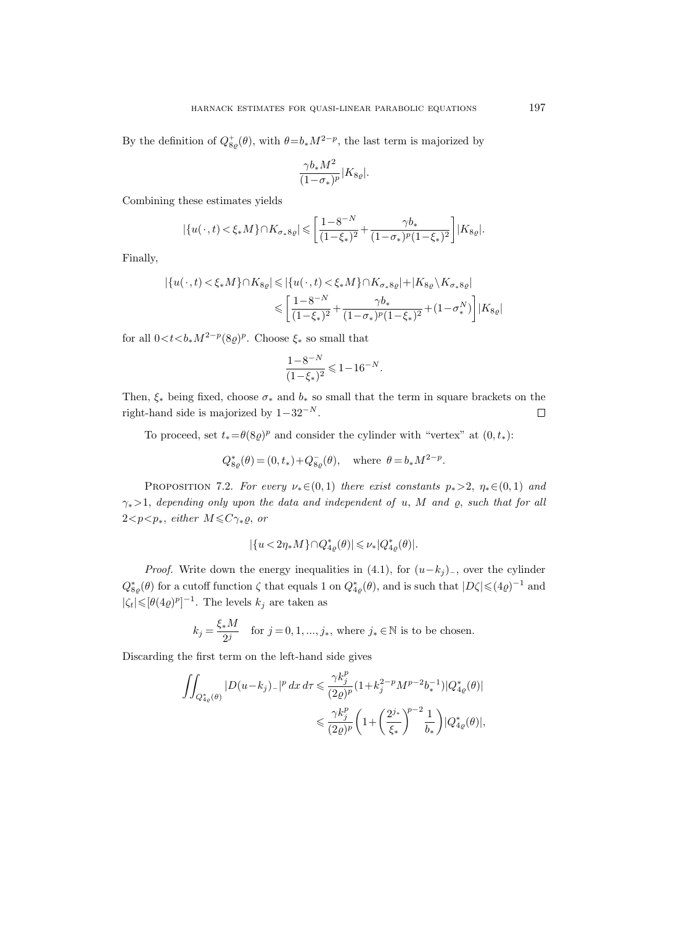By the definition of  $Q_{8\rho}^+(\theta)$ , with  $\theta = b_* M^{2-p}$ , the last term is majorized by

$$
\frac{\gamma b_* M^2}{(1\!sigma_*)^p} |K_{8\varrho}|.
$$

Combining these estimates yields

$$
|\{u(\cdot,t) < \xi_* M\} \cap K_{\sigma_* 8\varrho}| \leqslant \left[\frac{1 - 8^{-N}}{(1 - \xi_*)^2} + \frac{\gamma b_*}{(1 - \sigma_*)^p (1 - \xi_*)^2}\right] |K_{8\varrho}|.
$$

Finally,

$$
\begin{aligned} |\{u(\,\cdot\,,t)<\xi_*M\}\cap K_{8\varrho}|&\leqslant |\{u(\,\cdot\,,t)<\xi_*M\}\cap K_{\sigma_*8\varrho}|+|K_{8\varrho}\,\backslash K_{\sigma_*8\varrho}|\\ &\leqslant \bigg[\frac{1-8^{-N}}{(1-\xi_*)^2}+\frac{\gamma b_*}{(1-\sigma_*)^p(1-\xi_*)^2}+(1-\sigma_*^N)\bigg]|K_{8\varrho}| \end{aligned}
$$

for all  $0 < t < b_* M^{2-p} (8\varrho)^p$ . Choose  $\xi_*$  so small that

$$
\frac{1-8^{-N}}{(1-\xi_*)^2} \leq 1-16^{-N}.
$$

Then,  $\xi_*$  being fixed, choose  $\sigma_*$  and  $b_*$  so small that the term in square brackets on the right-hand side is majorized by  $1-32^{-N}$ .  $\Box$ 

To proceed, set  $t_* = \theta(8\varrho)^p$  and consider the cylinder with "vertex" at  $(0, t_*)$ :

$$
Q_{8\varrho}^*(\theta) = (0, t_*) + Q_{8\varrho}^-(\theta), \text{ where } \theta = b_* M^{2-p}.
$$

PROPOSITION 7.2. For every  $\nu_*(0,1)$  there exist constants  $p_* > 2$ ,  $\eta_* \in (0,1)$  and  $\gamma_* > 1$ , depending only upon the data and independent of u, M and  $\varrho$ , such that for all  $2 < p < p_*$ , either  $M \leq C \gamma_* \varrho$ , or

$$
|\{u<2\eta_* M\}\cap Q_{4\varrho}^*(\theta)|\leqslant \nu_*|Q_{4\varrho}^*(\theta)|.
$$

*Proof.* Write down the energy inequalities in  $(4.1)$ , for  $(u-k_j)$ <sub>-</sub>, over the cylinder  $Q_{8,\varrho}^*(\theta)$  for a cutoff function  $\zeta$  that equals 1 on  $Q_{4,\varrho}^*(\theta)$ , and is such that  $|D\zeta| \leqslant (4\varrho)^{-1}$  and  $|\zeta_t| \leqslant [\theta(4\varrho)^p]^{-1}$ . The levels  $k_j$  are taken as

$$
k_j = \frac{\xi_* M}{2^j} \quad \text{for } j = 0, 1, ..., j_*, \text{ where } j_* \in \mathbb{N} \text{ is to be chosen.}
$$

Discarding the first term on the left-hand side gives

$$
\begin{aligned} \iint_{Q_{4\varrho}^*(\theta)} |D(u-k_j)_-|^p \, dx\, d\tau &\leqslant \frac{\gamma k_j^p}{(2\varrho)^p} \big(1+k_j^{2-p}M^{p-2}b_*^{-1}\big) |Q_{4\varrho}^*(\theta)| \\ &\leqslant \frac{\gamma k_j^p}{(2\varrho)^p} \bigg(1+\bigg(\frac{2^{j_*}}{\xi_*}\bigg)^{\!p-2}\frac{1}{b_*}\bigg) |Q_{4\varrho}^*(\theta)|, \end{aligned}
$$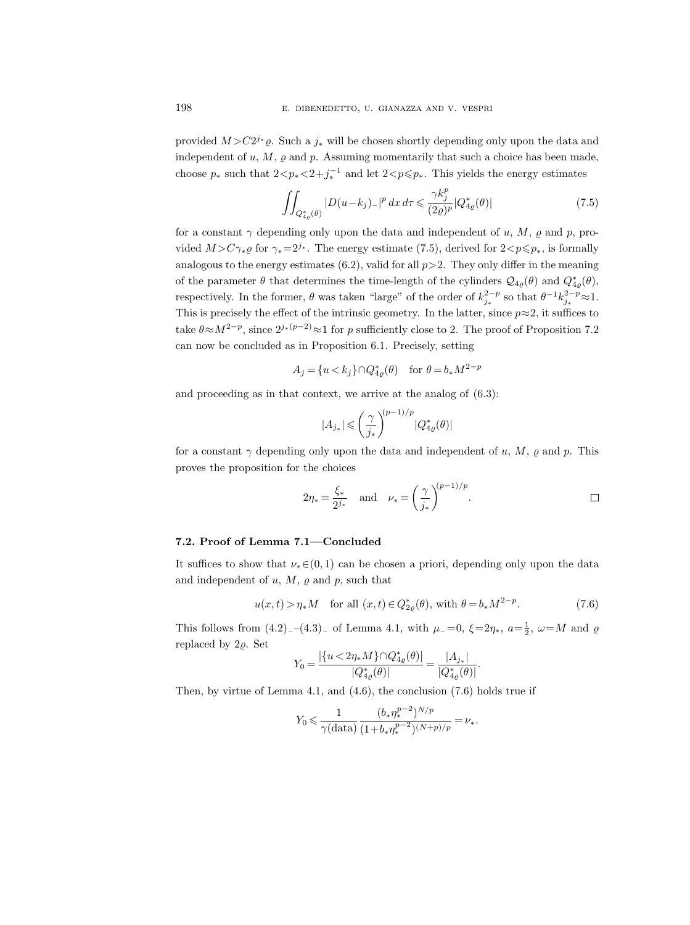provided  $M > C2^{j*}\varrho$ . Such a  $j_*$  will be chosen shortly depending only upon the data and independent of  $u, M, \varrho$  and  $p$ . Assuming momentarily that such a choice has been made, choose  $p_*$  such that  $2 < p_* < 2+j_*^{-1}$  and let  $2 < p \leq p_*$ . This yields the energy estimates

$$
\iint_{Q_{4\varrho}^*(\theta)} |D(u-k_j)_-|^p \, dx \, d\tau \leq \frac{\gamma k_j^p}{(2\varrho)^p} |Q_{4\varrho}^*(\theta)| \tag{7.5}
$$

for a constant  $\gamma$  depending only upon the data and independent of u, M,  $\rho$  and p, provided  $M > C\gamma_* \rho$  for  $\gamma_* = 2^{j_*}$ . The energy estimate (7.5), derived for  $2 < p \leq p_*$ , is formally analogous to the energy estimates (6.2), valid for all  $p>2$ . They only differ in the meaning of the parameter  $\theta$  that determines the time-length of the cylinders  $\mathcal{Q}_{4\varrho}(\theta)$  and  $Q_{4\varrho}^*(\theta)$ , respectively. In the former,  $\theta$  was taken "large" of the order of  $k_{j_*}^{2-p}$  so that  $\theta^{-1} k_{j_*}^{2-p} \approx 1$ . This is precisely the effect of the intrinsic geometry. In the latter, since  $p \approx 2$ , it suffices to take  $\theta \approx M^{2-p}$ , since  $2^{j_*(p-2)} \approx 1$  for p sufficiently close to 2. The proof of Proposition 7.2 can now be concluded as in Proposition 6.1. Precisely, setting

$$
A_j = \{u < k_j\} \cap Q_{4\varrho}^*(\theta) \quad \text{for } \theta = b_*M^{2-p}
$$

and proceeding as in that context, we arrive at the analog of (6.3):

$$
|A_{j_*}| \leqslant \bigg(\frac{\gamma}{j_*}\bigg)^{\hspace{-0.1cm} (p-1)/p} |Q^*_{4\varrho}(\theta)|
$$

for a constant  $\gamma$  depending only upon the data and independent of u, M,  $\rho$  and p. This proves the proposition for the choices

$$
2\eta_* = \frac{\xi_*}{2^{j_*}}
$$
 and  $\nu_* = \left(\frac{\gamma}{j_*}\right)^{(p-1)/p}$ .

#### 7.2. Proof of Lemma 7.1—Concluded

It suffices to show that  $\nu_*(0,1)$  can be chosen a priori, depending only upon the data and independent of  $u, M, \varrho$  and  $p$ , such that

$$
u(x,t) > \eta_* M
$$
 for all  $(x,t) \in Q_{2\varrho}^*(\theta)$ , with  $\theta = b_* M^{2-p}$ . (7.6)

p−22

This follows from  $(4.2)$ <sub>-</sub> $-(4.3)$ <sub>-</sub> of Lemma 4.1, with  $\mu$ <sub>-</sub>=0,  $\xi$ =2 $\eta_*$ ,  $a=\frac{1}{2}$ ,  $\omega=M$  and  $\varrho$ replaced by  $2\rho$ . Set

$$
Y_0 = \frac{|\{u < 2\eta_* M\} \cap Q_{4\varrho}^*(\theta)|}{|Q_{4\varrho}^*(\theta)|} = \frac{|A_{j_*}|}{|Q_{4\varrho}^*(\theta)|}.
$$

Then, by virtue of Lemma 4.1, and (4.6), the conclusion (7.6) holds true if

$$
Y_0 \leqslant \frac{1}{\gamma(\text{data})} \frac{(b_* \eta_*^{p-2})^{N/p}}{(1 + b_* \eta_*^{p-2})^{(N+p)/p}} = \nu_*.
$$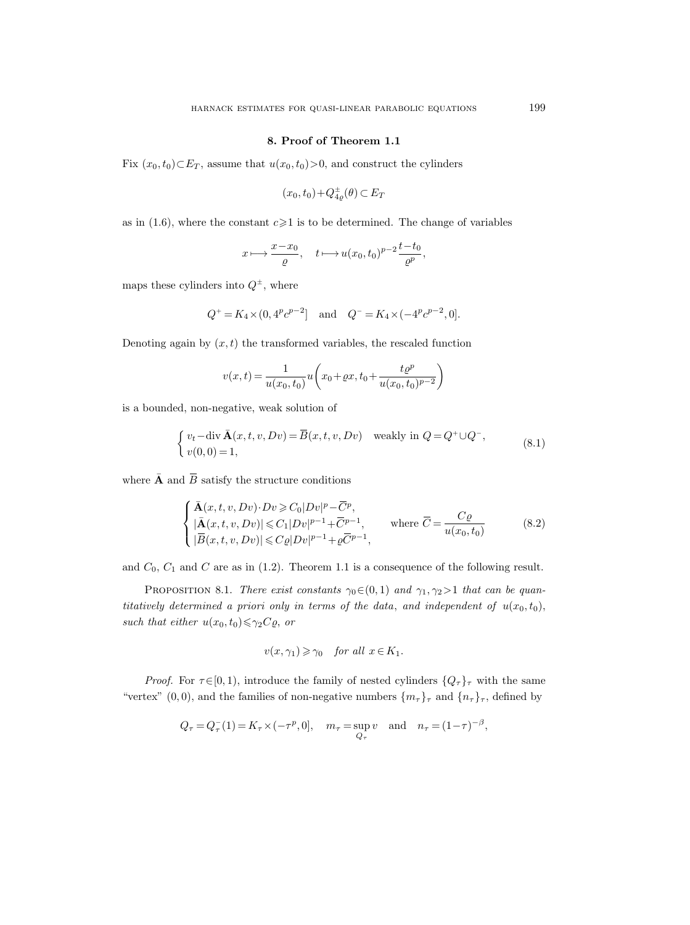## 8. Proof of Theorem 1.1

Fix  $(x_0, t_0) \subset E_T$ , assume that  $u(x_0, t_0) > 0$ , and construct the cylinders

$$
(x_0, t_0) + Q_{4\varrho}^{\pm}(\theta) \subset E_T
$$

as in (1.6), where the constant  $c \geq 1$  is to be determined. The change of variables

$$
x \longmapsto \frac{x - x_0}{\varrho}, \quad t \longmapsto u(x_0, t_0)^{p-2} \frac{t - t_0}{\varrho^p},
$$

maps these cylinders into  $Q^{\pm}$ , where

$$
Q^+ = K_4 \times (0, 4^p c^{p-2}]
$$
 and  $Q^- = K_4 \times (-4^p c^{p-2}, 0].$ 

Denoting again by  $(x, t)$  the transformed variables, the rescaled function

$$
\varrho
$$
\n
$$
\varrho
$$
\n
$$
\varrho
$$
\n
$$
\varrho
$$
\n
$$
\varrho
$$
\n
$$
\varrho
$$
\n
$$
\varrho
$$
\n
$$
\varrho
$$
\n
$$
\varrho
$$
\n
$$
\varrho
$$
\n
$$
\varrho
$$
\n
$$
\varrho
$$
\n
$$
\varrho
$$
\n
$$
\varrho
$$
\n
$$
\varrho
$$
\n
$$
\varrho
$$
\n
$$
\varrho
$$
\n
$$
\varrho
$$
\n
$$
\varrho
$$
\n
$$
\varrho
$$
\n
$$
\varrho
$$
\n
$$
\varrho
$$
\n
$$
\varrho
$$
\n
$$
\varrho
$$
\n
$$
\varrho
$$
\n
$$
\varrho
$$
\n
$$
\varrho
$$
\n
$$
\varrho
$$
\n
$$
\varrho
$$
\n
$$
\varrho
$$
\n
$$
\varrho
$$
\n
$$
\varrho
$$
\n
$$
\varrho
$$
\n
$$
\varrho
$$
\n
$$
\varrho
$$
\n
$$
\varrho
$$
\n
$$
\varrho
$$
\n
$$
\varrho
$$
\n
$$
\varrho
$$
\n
$$
\varrho
$$
\n
$$
\varrho
$$
\n
$$
\varrho
$$
\n
$$
\varrho
$$
\n
$$
\varrho
$$
\n
$$
\varrho
$$
\n
$$
\varrho
$$
\n
$$
\varrho
$$
\n
$$
\varrho
$$
\n
$$
\varrho
$$
\n
$$
\varrho
$$
\n
$$
\varrho
$$
\n
$$
\varrho
$$
\n
$$
\varrho
$$
\n
$$
\varrho
$$
\n
$$
\varrho
$$
\n
$$
\varrho
$$
\n
$$
\varrho
$$
\n
$$
\varrho
$$
\n
$$
\varrho
$$
\n
$$
\varrho
$$
\n
$$
\varrho
$$
\n
$$
\varrho
$$
\n
$$
\varrho
$$
\n
$$
\varrho
$$

is a bounded, non-negative, weak solution of

$$
\begin{cases} v_t - \operatorname{div} \bar{\mathbf{A}}(x, t, v, Dv) = \bar{B}(x, t, v, Dv) & \text{weakly in } Q = Q^+ \cup Q^-, \\ v(0, 0) = 1, \end{cases}
$$
 (8.1)

Denoting again<br>
is a bounded, no<br>
is a bounded, no<br>  $\begin{cases} v_t \\ v(\omega) \end{cases}$ where  $\bar{\mathbf{A}}$  and  $\bar{B}$  satisfy the structure conditions

$$
v(x,t) = \frac{1}{u(x_0, t_0)} u\left(x_0 + \varrho x, t_0 + \frac{t \varrho^p}{u(x_0, t_0)^{p-2}}\right)
$$
  
d, non-negative, weak solution of  

$$
\begin{cases} v_t - \text{div } \bar{\mathbf{A}}(x, t, v, Dv) = \bar{B}(x, t, v, Dv) \quad \text{weakly in } Q = Q^+ \cup Q^-,\\ v(0, 0) = 1, \end{cases}
$$

$$
\begin{cases} \bar{\mathbf{A}}(x, t, v, Dv) \cdot Dv \ge C_0 |Dv|^p - \bar{C}^p,\\ |\bar{\mathbf{A}}(x, t, v, Dv)| \le C_1 |Dv|^{p-1} + \bar{C}^{p-1}, \end{cases}
$$
where  $\bar{C} = \frac{C\varrho}{u(x_0, t_0)}$  (8.2)

and  $C_0$ ,  $C_1$  and  $C$  are as in (1.2). Theorem 1.1 is a consequence of the following result.

PROPOSITION 8.1. There exist constants  $\gamma_0 \in (0, 1)$  and  $\gamma_1, \gamma_2 > 1$  that can be quantitatively determined a priori only in terms of the data, and independent of  $u(x_0, t_0)$ , such that either  $u(x_0, t_0) \leq \gamma_2 C \varrho$ , or

$$
v(x, \gamma_1) \geqslant \gamma_0 \quad \text{for all } x \in K_1.
$$

*Proof.* For  $\tau \in [0, 1)$ , introduce the family of nested cylinders  $\{Q_{\tau}\}_{\tau}$  with the same "vertex" (0,0), and the families of non-negative numbers  $\{m_{\tau}\}_{\tau}$  and  $\{n_{\tau}\}_{\tau}$ , defined by

$$
Q_{\tau} = Q_{\tau}^{-}(1) = K_{\tau} \times (-\tau^{p}, 0], \quad m_{\tau} = \sup_{Q_{\tau}} v \quad \text{and} \quad n_{\tau} = (1 - \tau)^{-\beta},
$$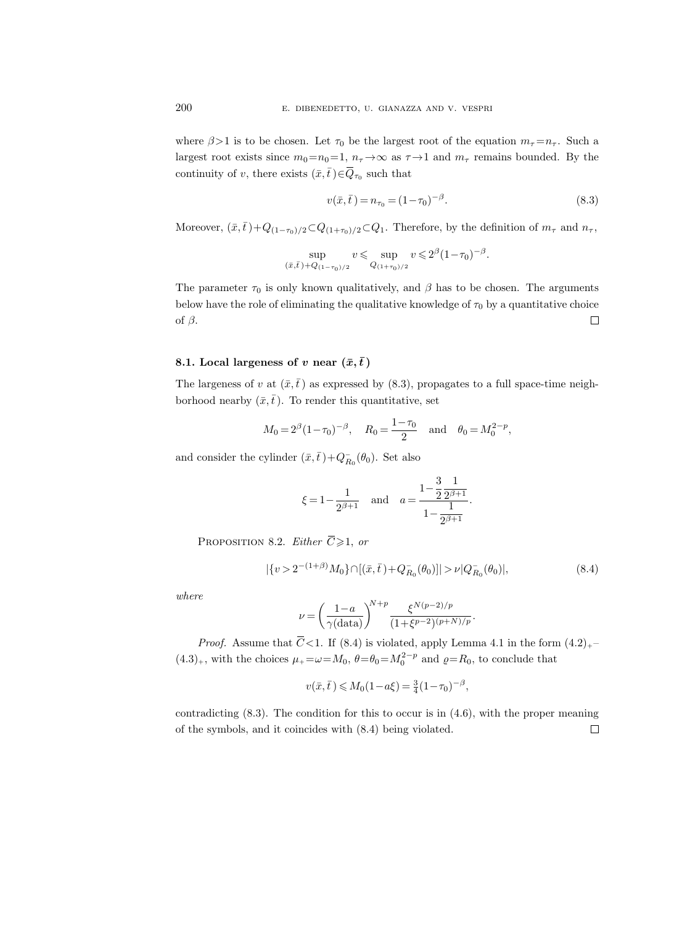where  $\beta > 1$  is to be chosen. Let  $\tau_0$  be the largest root of the equation  $m_{\tau} = n_{\tau}$ . Such a largest root exists since  $m_0=n_0=1$ ,  $n_\tau \to \infty$  as  $\tau \to 1$  and  $m_\tau$  remains bounded. By the 200 E. DIBENEDETTC<br>where  $\beta > 1$  is to be chosen. Let  $\tau_0$  b<br>largest root exists since  $m_0 = n_0 = 1$ , *n*<br>continuity of *v*, there exists  $(\bar{x}, \bar{t}) \in \overline{Q}$  $_{\tau_0}$  such that

$$
v(\bar{x}, \bar{t}) = n_{\tau_0} = (1 - \tau_0)^{-\beta}.
$$
\n(8.3)

Moreover,  $(\bar{x}, \bar{t})+Q_{(1-\tau_0)/2}\subset Q_{(1+\tau_0)/2}\subset Q_1$ . Therefore, by the definition of  $m_{\tau}$  and  $n_{\tau}$ ,

$$
\sup_{(\bar{x},\bar{t})+Q_{(1-\tau_0)/2}} v \leqslant \sup_{Q_{(1+\tau_0)/2}} v \leqslant 2^{\beta} (1-\tau_0)^{-\beta}.
$$

The parameter  $\tau_0$  is only known qualitatively, and  $\beta$  has to be chosen. The arguments below have the role of eliminating the qualitative knowledge of  $\tau_0$  by a quantitative choice of  $\beta$ .  $\Box$ 

## 8.1. Local largeness of v near  $(\bar{x}, \bar{t})$

The largeness of v at  $(\bar{x}, \bar{t})$  as expressed by (8.3), propagates to a full space-time neighborhood nearby  $(\bar{x},\bar{t})$ . To render this quantitative, set Local largeness of v hear<br>largeness of v at  $(\bar{x}, \bar{t})$  as expood nearby  $(\bar{x}, \bar{t})$ . To render<br> $M_0 = 2^{\beta} (1 - \tau_0)$ <br>consider the cylinder  $(\bar{x}, \bar{t}) + \xi = 1 -$ <br>Proposition 8.2. *Either*  $\overline{C}$ 

$$
M_0 = 2^{\beta} (1 - \tau_0)^{-\beta}, \quad R_0 = \frac{1 - \tau_0}{2} \quad \text{and} \quad \theta_0 = M_0^{2 - p},
$$

and consider the cylinder  $(\bar{x}, \bar{t}) + Q_{R_0}^-(\theta_0)$ . Set also

$$
\xi = 1 - \frac{1}{2^{\beta+1}}
$$
 and  $a = \frac{1 - \frac{3}{2} \frac{1}{2^{\beta+1}}}{1 - \frac{1}{2^{\beta+1}}}$ .

PROPOSITION 8.2. *Either*  $\overline{C} \geq 1$ , or  $\xi =$  Proposition 8.2. Either<br>  $|\{v>2^{-(1-\epsilon)}\}|\leq \epsilon$   $\nu =$  Proof. Assume that<br>  $\overline{C}<$ 

$$
|\{v > 2^{-(1+\beta)}M_0\} \cap [(\bar{x}, \bar{t}) + Q_{R_0}^-(\theta_0)]| > \nu |Q_{R_0}^-(\theta_0)|,
$$
\n(8.4)

where

$$
\nu = \left(\frac{1-a}{\gamma(\text{data})}\right)^{N+p} \frac{\xi^{N(p-2)/p}}{(1+\xi^{p-2})^{(p+N)/p}}.
$$

*Proof.* Assume that  $\overline{C}$  < 1. If (8.4) is violated, apply Lemma 4.1 in the form  $(4.2)_{+}$  $(4.3)<sub>+</sub>$ , with the choices  $\mu_+ = \omega = M_0$ ,  $\theta = \theta_0 = M_0^{2-p}$  and  $\rho = R_0$ , to conclude that

$$
v(\bar{x}, \bar{t}) \le M_0(1 - a\xi) = \frac{3}{4}(1 - \tau_0)^{-\beta},
$$

contradicting  $(8.3)$ . The condition for this to occur is in  $(4.6)$ , with the proper meaning of the symbols, and it coincides with (8.4) being violated. $\Box$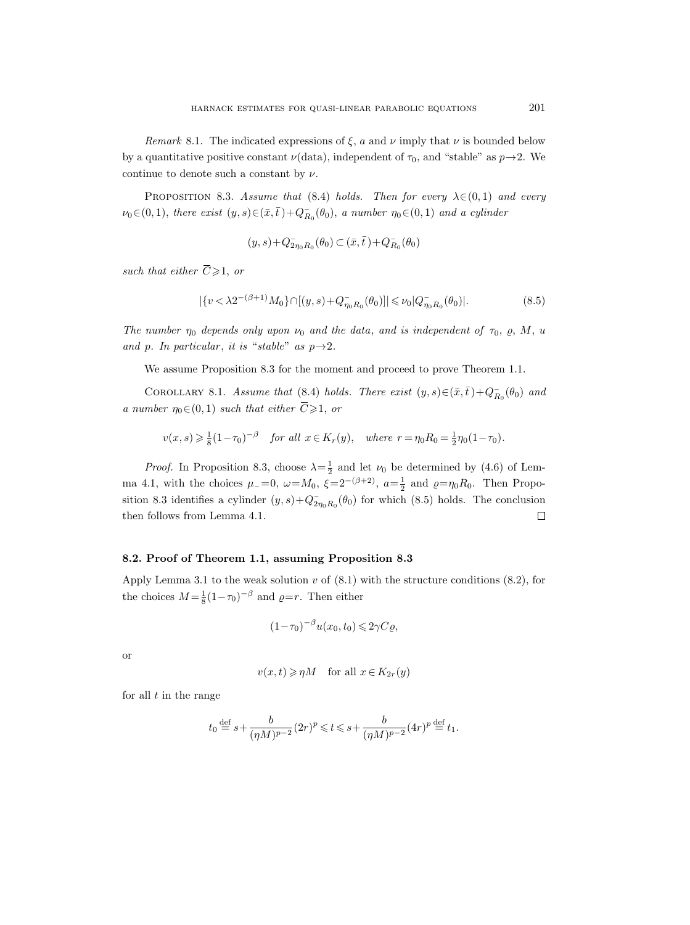Remark 8.1. The indicated expressions of  $\xi$ , a and  $\nu$  imply that  $\nu$  is bounded below by a quantitative positive constant  $\nu(\text{data})$ , independent of  $\tau_0$ , and "stable" as  $p \rightarrow 2$ . We continue to denote such a constant by  $\nu$ . HARI<br>
Remark 8.1.<br>
by a quantitative p<br>
continue to denote<br>
PROPOSITION<br>  $\nu_0 \in (0, 1)$ , there ex<br>
such that either  $\overline{C}$ 

PROPOSITION 8.3. Assume that (8.4) holds. Then for every  $\lambda \in (0,1)$  and every  $\nu_0 \in (0,1)$ , there exist  $(y, s) \in (\bar{x}, \bar{t}) + Q_{R_0}^-(\theta_0)$ , a number  $\eta_0 \in (0,1)$  and a cylinder

$$
(y,s)+Q_{2\eta_0R_0}^-(\theta_0)\subset(\bar x,\bar t\,)+Q_{R_0}^-(\theta_0)
$$

such that either  $\overline{C} \geq 1$ , or

$$
|\{v < \lambda 2^{-(\beta+1)}M_0\} \cap [(y,s) + Q^-_{\eta_0 R_0}(\theta_0)]| \le \nu_0 |Q^-_{\eta_0 R_0}(\theta_0)|. \tag{8.5}
$$

The number  $\eta_0$  depends only upon  $\nu_0$  and the data, and is independent of  $\tau_0$ ,  $\rho$ ,  $M$ ,  $u$ and p. In particular, it is "stable" as  $p \rightarrow 2$ .

We assume Proposition 8.3 for the moment and proceed to prove Theorem 1.1.

COROLLARY 8.1. Assume that (8.4) holds. There exist  $(y, s) \in (\bar{x}, \bar{t}) + Q_{R_0}^-(\theta_0)$  and  $(y, s) + Q_{2\eta_0R}^{-1}$ <br>
such that either  $\overline{C} \geq 1$ , or<br>  $|\{v < \lambda 2^{-(\beta+1)}M_0\} \cap |(y, \theta_0) \rangle$ <br>
The number  $\eta_0$  depends only upon  $\nu_0$ <br>
and p. In particular, it is "stable" as<br>
We assume Proposition 8.3 for the<br>
COROLLA a number  $\eta_0 \in (0,1)$  such that either  $\overline{C} \geq 1$ , or

 $v(x, s) \geq \frac{1}{8}(1-\tau_0)^{-\beta}$  for all  $x \in K_r(y)$ , where  $r = \eta_0 R_0 = \frac{1}{2}\eta_0(1-\tau_0)$ .

*Proof.* In Proposition 8.3, choose  $\lambda = \frac{1}{2}$  and let  $\nu_0$  be determined by (4.6) of Lemma 4.1, with the choices  $\mu_{-}=0$ ,  $\omega=M_0$ ,  $\xi=2^{-(\beta+2)}$ ,  $a=\frac{1}{2}$  and  $\varrho=\eta_0R_0$ . Then Proposition 8.3 identifies a cylinder  $(y, s) + Q_{2\eta_0 R_0}(\theta_0)$  for which (8.5) holds. The conclusion then follows from Lemma 4.1.  $\Box$ 

## 8.2. Proof of Theorem 1.1, assuming Proposition 8.3

Apply Lemma 3.1 to the weak solution  $v$  of  $(8.1)$  with the structure conditions  $(8.2)$ , for the choices  $M = \frac{1}{8}(1 - \tau_0)^{-\beta}$  and  $\rho = r$ . Then either

$$
(1 - \tau_0)^{-\beta} u(x_0, t_0) \leq 2\gamma C \varrho,
$$

or

$$
v(x,t) \geqslant \eta M \quad \text{for all } x \in K_{2r}(y)
$$

for all  $t$  in the range

$$
t_0\stackrel{\mathrm{def}}{=} s+\frac{b}{(\eta M)^{p-2}}(2r)^p\leqslant t\leqslant s+\frac{b}{(\eta M)^{p-2}}(4r)^p\stackrel{\mathrm{def}}{=} t_1.
$$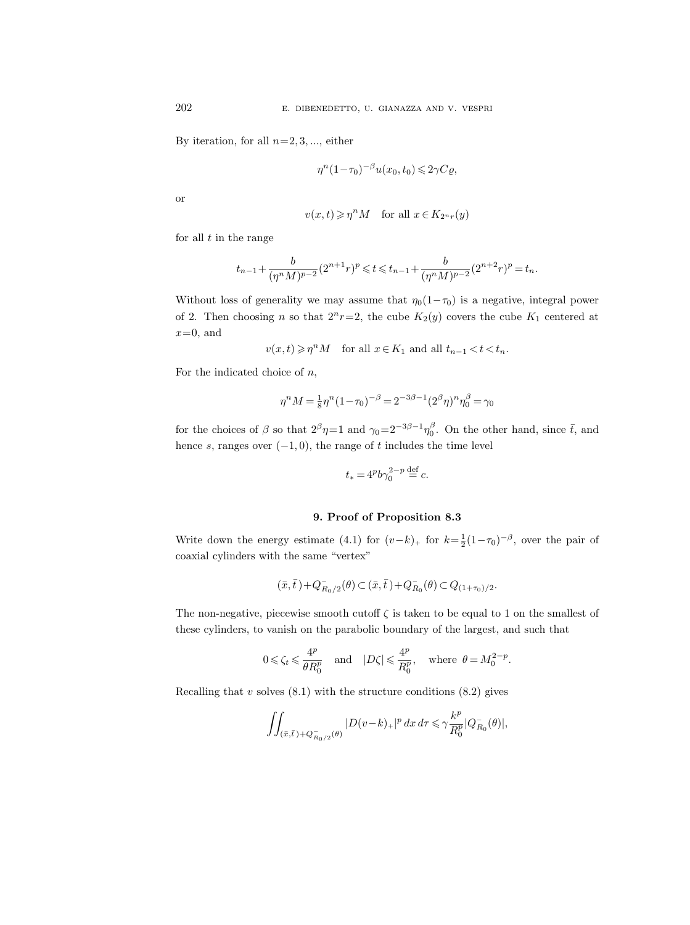By iteration, for all  $n=2, 3, \dots$ , either

$$
\eta^{n}(1-\tau_0)^{-\beta}u(x_0,t_0)\leq 2\gamma C\varrho,
$$

or

$$
v(x,t) \geq \eta^n M
$$
 for all  $x \in K_{2^n r}(y)$ 

for all  $t$  in the range

$$
t_{n-1}+\frac{b}{(\eta^n M)^{p-2}}(2^{n+1}r)^p\leqslant t\leqslant t_{n-1}+\frac{b}{(\eta^n M)^{p-2}}(2^{n+2}r)^p=t_n.
$$

Without loss of generality we may assume that  $\eta_0(1-\tau_0)$  is a negative, integral power of 2. Then choosing n so that  $2^{n}r=2$ , the cube  $K_{2}(y)$  covers the cube  $K_{1}$  centered at  $x=0$ , and

$$
v(x,t) \geqslant \eta^n M
$$
 for all  $x \in K_1$  and all  $t_{n-1} < t < t_n$ .

For the indicated choice of  $n$ ,

$$
\eta^n M = \frac{1}{8} \eta^n (1-\tau_0)^{-\beta} = 2^{-3\beta-1} (2^\beta \eta)^n \eta_0^\beta = \gamma_0
$$

for the choices of  $\beta$  so that  $2^{\beta}\eta=1$  and  $\gamma_0=2^{-3\beta-1}\eta_0^{\beta}$ . On the other hand, since  $\bar{t}$ , and hence s, ranges over  $(-1, 0)$ , the range of t includes the time level

$$
t_* = 4^p b \gamma_0^{2-p} \stackrel{\text{def}}{=} c.
$$

## 9. Proof of Proposition 8.3

Write down the energy estimate (4.1) for  $(v-k)_+$  for  $k=\frac{1}{2}(1-\tau_0)^{-\beta}$ , over the pair of coaxial cylinders with the same "vertex"

$$
(\bar{x},\bar{t}\,) + Q^-_{R_0/2}(\theta) \subset (\bar{x},\bar{t}\,) + Q^-_{R_0}(\theta) \subset Q_{(1+\tau_0)/2}.
$$

The non-negative, piecewise smooth cutoff  $\zeta$  is taken to be equal to 1 on the smallest of these cylinders, to vanish on the parabolic boundary of the largest, and such that

$$
0 \le \zeta_t \le \frac{4^p}{\theta R_0^p}
$$
 and  $|D\zeta| \le \frac{4^p}{R_0^p}$ , where  $\theta = M_0^{2-p}$ .

Recalling that  $v$  solves  $(8.1)$  with the structure conditions  $(8.2)$  gives

$$
\iint_{\left(\bar x,\bar t\right)+Q_{R_0/2}^-(\theta)}\left|D(v-k)_+\right|^pdx\,d\tau\leqslant\gamma\frac{k^p}{R_0^p}|Q_{R_0}^-(\theta)|,
$$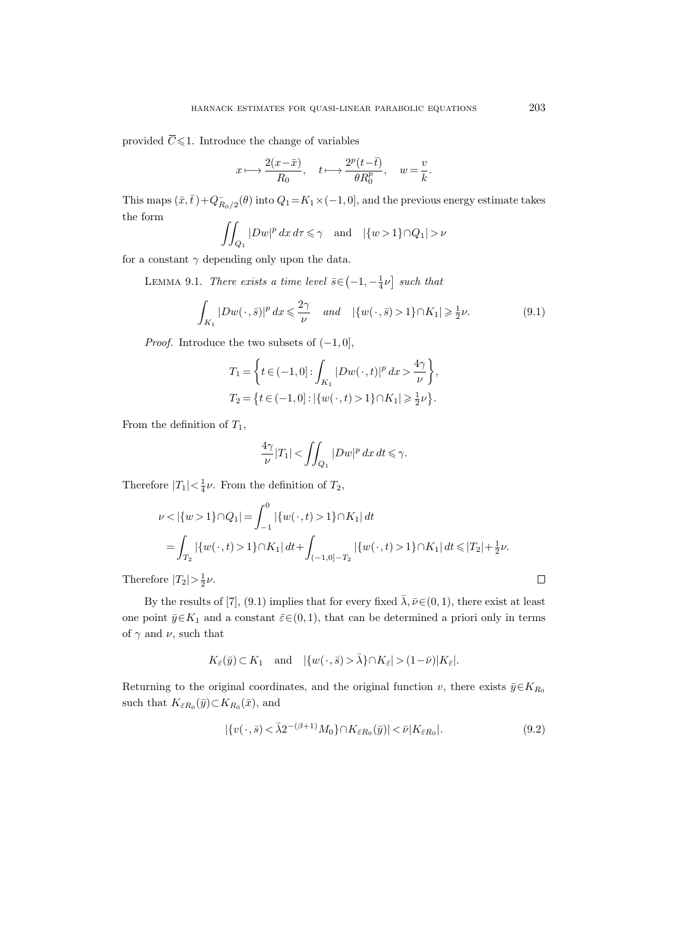provided  $\overline{C}$ provided  $\overline{C} \leq 1$ . Introduce the change of variables

$$
x \longmapsto \frac{2(x-\bar{x})}{R_0}, \quad t \longmapsto \frac{2^p(t-\bar{t})}{\theta R_0^p}, \quad w = \frac{v}{k}.
$$

This maps  $(\bar{x}, \bar{t}) + Q_{R_0/2}^-(\theta)$  into  $Q_1 = K_1 \times (-1, 0]$ , and the previous energy estimate takes the form

$$
\iint_{Q_1} |Dw|^p \, dx \, d\tau \leq \gamma \quad \text{and} \quad |\{w > 1\} \cap Q_1| > \nu
$$

for a constant  $\gamma$  depending only upon the data.

LEMMA 9.1. There exists a time level  $\bar{s} \in \left(-1, -\frac{1}{4}\nu\right]$  such that

$$
\int_{K_1} |Dw(\cdot, \bar{s})|^p dx \leq \frac{2\gamma}{\nu} \quad \text{and} \quad |\{w(\cdot, \bar{s}) > 1\} \cap K_1| \geq \frac{1}{2}\nu. \tag{9.1}
$$

*Proof.* Introduce the two subsets of  $(-1, 0]$ ,

$$
T_1 = \left\{ t \in (-1, 0] : \int_{K_1} |Dw(\cdot, t)|^p \, dx > \frac{4\gamma}{\nu} \right\},
$$
  

$$
T_2 = \left\{ t \in (-1, 0] : |\{w(\cdot, t) > 1\} \cap K_1| \geq \frac{1}{2}\nu \right\}.
$$

From the definition of  $T_1$ ,

$$
\frac{4\gamma}{\nu}|T_1| < \iint_{Q_1} |Dw|^p \, dx \, dt \le \gamma.
$$

Therefore  $|T_1| < \frac{1}{4}\nu$ . From the definition of  $T_2$ ,

$$
\nu < |\{w > 1\} \cap Q_1| = \int_{-1}^0 |\{w(\cdot, t) > 1\} \cap K_1| dt
$$
  
= 
$$
\int_{T_2} |\{w(\cdot, t) > 1\} \cap K_1| dt + \int_{(-1,0]-T_2} |\{w(\cdot, t) > 1\} \cap K_1| dt \le |T_2| + \frac{1}{2} \nu.
$$

Therefore  $|T_2| > \frac{1}{2}\nu$ .

By the results of [7], (9.1) implies that for every fixed  $\bar{\lambda}, \bar{\nu} \in (0, 1)$ , there exist at least one point  $\bar{y} \in K_1$  and a constant  $\bar{\varepsilon} \in (0, 1)$ , that can be determined a priori only in terms of  $\gamma$  and  $\nu$ , such that

$$
K_{\bar{\varepsilon}}(\bar{y})\subset K_1\quad\text{and}\quad |\{w(\,\cdot\,,\bar{s})>\bar{\lambda}\}\cap K_{\bar{\varepsilon}}|>(1-\bar{\nu})|K_{\bar{\varepsilon}}|.
$$

Returning to the original coordinates, and the original function v, there exists  $\bar{y} \in K_{R_0}$ such that  $K_{\bar{\varepsilon}R_0}(\bar{y}) \subset K_{R_0}(\bar{x})$ , and

$$
|\{v(\cdot,\bar{s})<\bar{\lambda}2^{-(\beta+1)}M_0\}\cap K_{\bar{\varepsilon}R_0}(\bar{y})|<\bar{\nu}|K_{\bar{\varepsilon}R_0}|.\tag{9.2}
$$

 $\Box$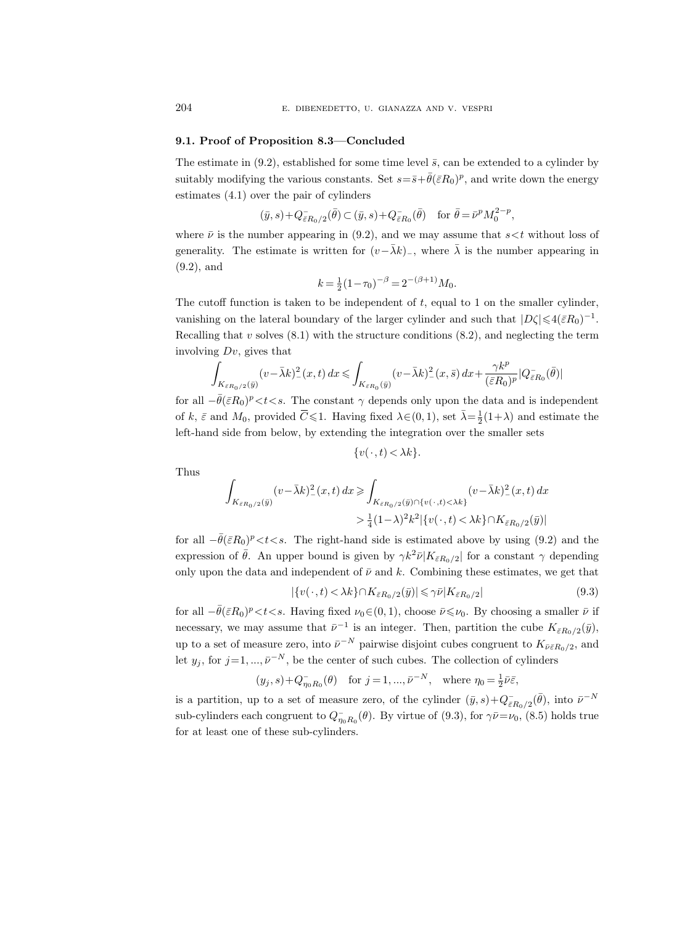#### 9.1. Proof of Proposition 8.3—Concluded

The estimate in (9.2), established for some time level  $\bar{s}$ , can be extended to a cylinder by suitably modifying the various constants. Set  $s = \bar{s} + \bar{\theta}(\bar{\varepsilon}R_0)^p$ , and write down the energy estimates (4.1) over the pair of cylinders

$$
(\bar y,s)+Q_{\bar \varepsilon R_0/2}^-(\bar \theta)\subset (\bar y,s)+Q_{\bar \varepsilon R_0}^-(\bar \theta)\quad \text{for } \bar \theta=\bar \nu^pM_0^{2-p},
$$

where  $\bar{\nu}$  is the number appearing in (9.2), and we may assume that  $s < t$  without loss of generality. The estimate is written for  $(v-\bar{\lambda}k)_-$ , where  $\bar{\lambda}$  is the number appearing in (9.2), and

$$
k = \frac{1}{2}(1 - \tau_0)^{-\beta} = 2^{-(\beta + 1)}M_0.
$$

The cutoff function is taken to be independent of  $t$ , equal to 1 on the smaller cylinder, vanishing on the lateral boundary of the larger cylinder and such that  $|D\zeta| \leq 4(\bar{\varepsilon}R_0)^{-1}$ . Recalling that  $v$  solves  $(8.1)$  with the structure conditions  $(8.2)$ , and neglecting the term involving  $Dv$ , gives that of the stimate is the names appropriate is<br>
(9.2), and<br>
The cutoff function is taken<br>
vanishing on the lateral bot<br>
Recalling that v solves (8.1)<br>
involving  $Dv$ , gives that<br>  $\int_{K_{\varepsilon R_0/2}(\bar{y})} (v - \bar{\lambda}k)^2 (z)$ <br>
for all

$$
\int_{K_{\bar{\varepsilon}R_0/2}(\bar{y})} (v-\bar{\lambda}k)_{-}^2(x,t)\,dx \leqslant \int_{K_{\bar{\varepsilon}R_0}(\bar{y})} (v-\bar{\lambda}k)_{-}^2(x,\bar{s})\,dx + \frac{\gamma k^p}{(\bar{\varepsilon}R_0)^p}|Q_{\bar{\varepsilon}R_0}^-(\bar{\theta})|
$$

for all  $-\bar{\theta}(\bar{\varepsilon}R_0)^p < t < s$ . The constant  $\gamma$  depends only upon the data and is independent  $\leq$ 1. Having fixed λ∈(0, 1), set  $\bar{\lambda} = \frac{1}{2}(1+\lambda)$  and estimate the left-hand side from below, by extending the integration over the smaller sets

$$
\{v(\cdot,t) < \lambda k\}.
$$

Thus

$$
\begin{aligned} \int_{K_{\bar{\varepsilon}R_0/2}(\bar{y})} (v-\bar{\lambda}k)_-^2(x,t)\,dx \geqslant & \int_{K_{\bar{\varepsilon}R_0/2}(\bar{y})\cap \{v(\,\cdot\,,t)<\lambda k\}} (v-\bar{\lambda}k)_-^2(x,t)\,dx \\ > & \frac{1}{4}(1-\lambda)^2k^2|\{v(\,\cdot\,,t)<\lambda k\}\cap K_{\bar{\varepsilon}R_0/2}(\bar{y})| \end{aligned}
$$

for all  $-\bar{\theta}(\bar{\varepsilon}R_0)^p < t < s$ . The right-hand side is estimated above by using (9.2) and the expression of  $\bar{\theta}$ . An upper bound is given by  $\gamma k^2 \bar{\nu} |K_{\bar{\varepsilon}R_0/2}|$  for a constant  $\gamma$  depending only upon the data and independent of  $\bar{\nu}$  and k. Combining these estimates, we get that

$$
|\{v(\cdot,t) < \lambda k\} \cap K_{\bar{\varepsilon}R_0/2}(\bar{y})| \leq \gamma \bar{\nu}|K_{\bar{\varepsilon}R_0/2}| \tag{9.3}
$$

for all  $-\bar{\theta}(\bar{\varepsilon}R_0)^p < t < s$ . Having fixed  $\nu_0 \in (0, 1)$ , choose  $\bar{\nu} \leq \nu_0$ . By choosing a smaller  $\bar{\nu}$  if necessary, we may assume that  $\bar{\nu}^{-1}$  is an integer. Then, partition the cube  $K_{\bar{\varepsilon}R_0/2}(\bar{y}),$ up to a set of measure zero, into  $\bar{\nu}^{-N}$  pairwise disjoint cubes congruent to  $K_{\bar{\nu}\bar{\varepsilon}R_0/2}$ , and let  $y_j$ , for  $j=1, ..., \bar{\nu}^{-N}$ , be the center of such cubes. The collection of cylinders

$$
(y_j, s) + Q_{\eta_0 R_0}^-(\theta)
$$
 for  $j = 1, ..., \bar{\nu}^{-N}$ , where  $\eta_0 = \frac{1}{2} \bar{\nu} \bar{\varepsilon}$ ,

is a partition, up to a set of measure zero, of the cylinder  $(\bar{y}, s) + Q^-_{\bar{\varepsilon}R_0/2}(\bar{\theta})$ , into  $\bar{\nu}^{-N}$ sub-cylinders each congruent to  $Q_{\eta_0 R_0}^-(\theta)$ . By virtue of (9.3), for  $\gamma \bar{\nu} = \nu_0$ , (8.5) holds true for at least one of these sub-cylinders.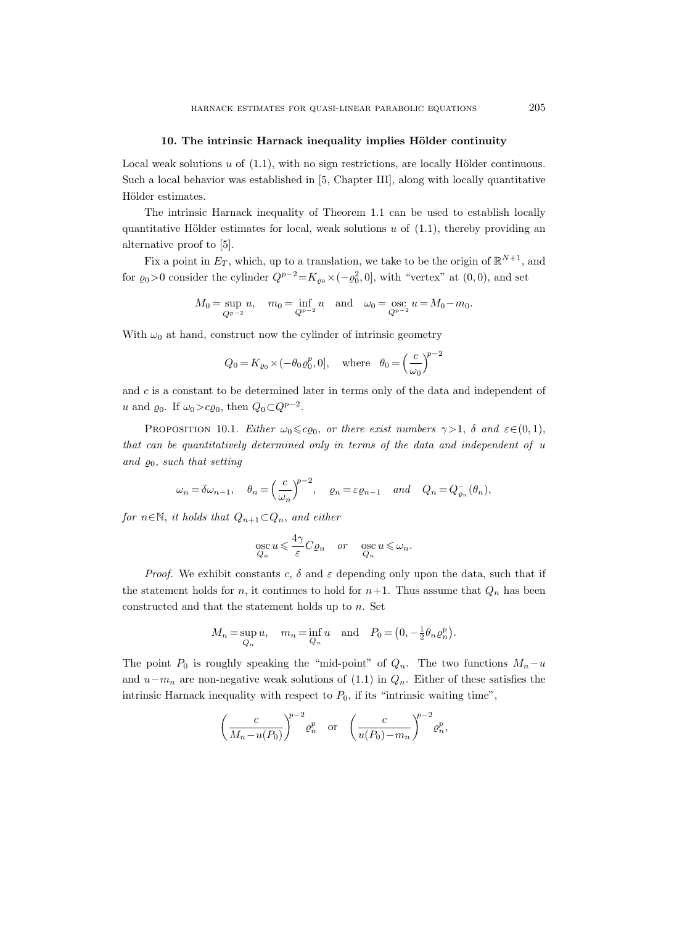#### 10. The intrinsic Harnack inequality implies Hölder continuity

Local weak solutions  $u$  of  $(1.1)$ , with no sign restrictions, are locally Hölder continuous. Such a local behavior was established in [5, Chapter III], along with locally quantitative Hölder estimates.

The intrinsic Harnack inequality of Theorem 1.1 can be used to establish locally quantitative Hölder estimates for local, weak solutions  $u$  of  $(1.1)$ , thereby providing an alternative proof to [5].

Fix a point in  $E_T$ , which, up to a translation, we take to be the origin of  $\mathbb{R}^{N+1}$ , and for  $\varrho_0 > 0$  consider the cylinder  $Q^{p-2} = K_{\varrho_0} \times (-\varrho_0^2, 0]$ , with "vertex" at  $(0, 0)$ , and set

$$
M_0 = \sup_{Q^{p-2}} u
$$
,  $m_0 = \inf_{Q^{p-2}} u$  and  $\omega_0 = \underset{Q^{p-2}}{\text{osc}} u = M_0 - m_0$ .

With  $\omega_0$  at hand, construct now the cylinder of intrinsic geometry

$$
Q_0 = K_{\varrho_0} \times (-\theta_0 \varrho_0^p, 0],
$$
 where  $\theta_0 = \left(\frac{c}{\omega_0}\right)^{p-2}$ 

and  $c$  is a constant to be determined later in terms only of the data and independent of u and  $\varrho_0$ . If  $\omega_0 > c \varrho_0$ , then  $Q_0 \subset Q^{p-2}$ .

PROPOSITION 10.1. Either  $\omega_0 \leq c \varrho_0$ , or there exist numbers  $\gamma > 1$ ,  $\delta$  and  $\varepsilon \in (0, 1)$ , that can be quantitatively determined only in terms of the data and independent of u and  $\varrho_0$ , such that setting

$$
\omega_n = \delta \omega_{n-1}, \quad \theta_n = \left(\frac{c}{\omega_n}\right)^{p-2}, \quad \varrho_n = \varepsilon \varrho_{n-1} \quad \text{and} \quad Q_n = Q_{\varrho_n}(\theta_n),
$$

for  $n \in \mathbb{N}$ , it holds that  $Q_{n+1} \subset Q_n$ , and either

$$
\underset{Q_n}{\operatorname{osc}} u \leqslant \frac{4\gamma}{\varepsilon} C \varrho_n \quad or \quad \underset{Q_n}{\operatorname{osc}} u \leqslant \omega_n.
$$

*Proof.* We exhibit constants c,  $\delta$  and  $\varepsilon$  depending only upon the data, such that if the statement holds for n, it continues to hold for  $n+1$ . Thus assume that  $Q_n$  has been constructed and that the statement holds up to  $n$ . Set

$$
M_n = \sup_{Q_n} u, \quad m_n = \inf_{Q_n} u \quad \text{and} \quad P_0 = \left(0, -\frac{1}{2}\theta_n \varrho_n^p\right).
$$

The point  $P_0$  is roughly speaking the "mid-point" of  $Q_n$ . The two functions  $M_n-u$ and  $u-m_n$  are non-negative weak solutions of (1.1) in  $Q_n$ . Either of these satisfies the intrinsic Harnack inequality with respect to  $P_0$ , if its "intrinsic waiting time",

$$
\left(\frac{c}{M_n - u(P_0)}\right)^{p-2} \varrho_n^p \quad \text{or} \quad \left(\frac{c}{u(P_0) - m_n}\right)^{p-2} \varrho_n^p,
$$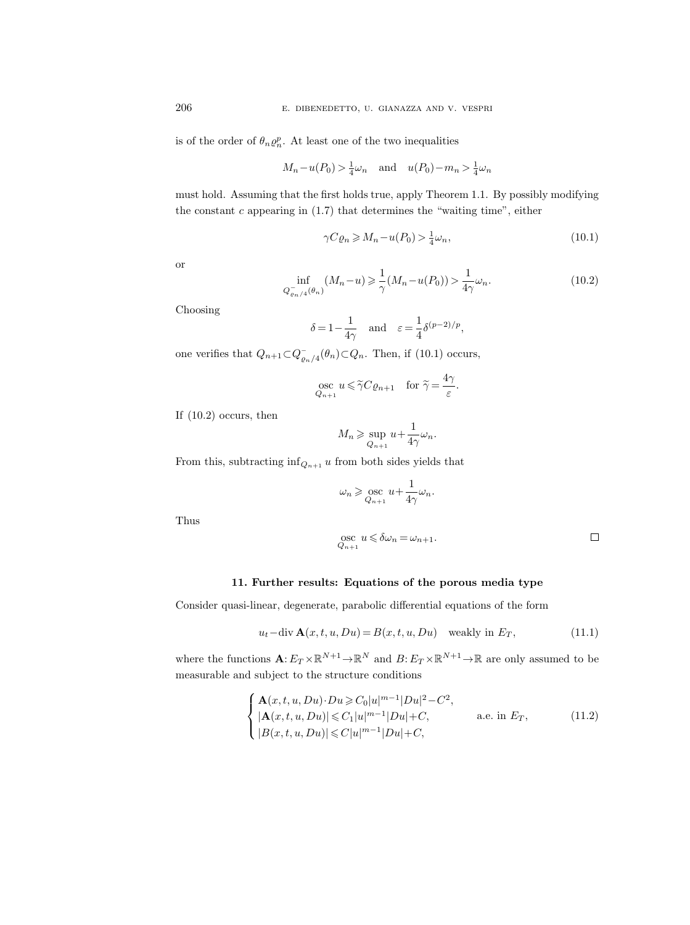is of the order of  $\theta_n \varrho_n^p$ . At least one of the two inequalities

$$
M_n - u(P_0) > \frac{1}{4}\omega_n
$$
 and  $u(P_0) - m_n > \frac{1}{4}\omega_n$ 

must hold. Assuming that the first holds true, apply Theorem 1.1. By possibly modifying the constant  $c$  appearing in  $(1.7)$  that determines the "waiting time", either

$$
\gamma C \varrho_n \ge M_n - u(P_0) > \frac{1}{4} \omega_n,\tag{10.1}
$$

or

$$
\inf_{Q_{\varrho_{n}/4}^-(\theta_n)} (M_n - u) \geq \frac{1}{\gamma} (M_n - u(P_0)) > \frac{1}{4\gamma} \omega_n.
$$
\n(10.2)

Choosing

$$
\delta = 1 - \frac{1}{4\gamma}
$$
 and  $\varepsilon = \frac{1}{4} \delta^{(p-2)/p}$ ,

one verifies that  $Q_{n+1} \subset Q_{\varrho_n/4}^-(\theta_n) \subset Q_n$ . Then, if (10.1) occurs,

$$
\operatorname*{osc}_{Q_{n+1}} u \leq \widetilde{\gamma} C \varrho_{n+1} \quad \text{for } \widetilde{\gamma} = \frac{4\gamma}{\varepsilon}.
$$

If (10.2) occurs, then

$$
M_n \geq \sup_{Q_{n+1}} u + \frac{1}{4\gamma} \omega_n.
$$

From this, subtracting  $\inf_{Q_{n+1}} u$  from both sides yields that

$$
\omega_n \geqslant \mathop{\rm osc}_{Q_{n+1}} u + \frac{1}{4\gamma} \omega_n.
$$

Thus

$$
\operatorname*{osc}_{Q_{n+1}} u \leqslant \delta \omega_n = \omega_{n+1}.
$$

## 11. Further results: Equations of the porous media type

Consider quasi-linear, degenerate, parabolic differential equations of the form

$$
u_t - \text{div }\mathbf{A}(x, t, u, Du) = B(x, t, u, Du) \quad \text{weakly in } E_T,
$$
\n(11.1)

where the functions  $\mathbf{A}: E_T \times \mathbb{R}^{N+1} \to \mathbb{R}^N$  and  $B: E_T \times \mathbb{R}^{N+1} \to \mathbb{R}$  are only assumed to be measurable and subject to the structure conditions

$$
\begin{cases}\n\mathbf{A}(x,t,u,Du)\cdot Du \ge C_0|u|^{m-1}|Du|^2 - C^2, \\
|\mathbf{A}(x,t,u,Du)| \le C_1|u|^{m-1}|Du| + C, \quad \text{a.e. in } E_T, \\
|B(x,t,u,Du)| \le C|u|^{m-1}|Du| + C,\n\end{cases}
$$
\n(11.2)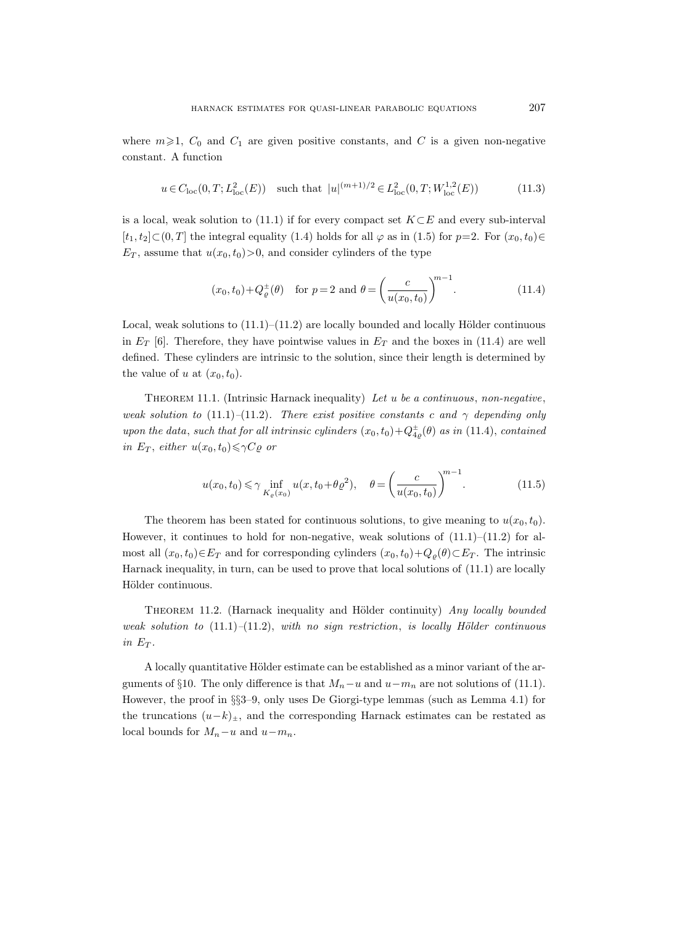where  $m\geqslant1$ ,  $C_0$  and  $C_1$  are given positive constants, and C is a given non-negative constant. A function

$$
u \in C_{loc}(0, T; L^{2}_{loc}(E))
$$
 such that  $|u|^{(m+1)/2} \in L^{2}_{loc}(0, T; W^{1,2}_{loc}(E))$  (11.3)

is a local, weak solution to (11.1) if for every compact set  $K\subset E$  and every sub-interval  $[t_1, t_2] \subset (0, T]$  the integral equality (1.4) holds for all  $\varphi$  as in (1.5) for  $p=2$ . For  $(x_0, t_0) \in$  $E_T$ , assume that  $u(x_0, t_0) > 0$ , and consider cylinders of the type

$$
(x_0, t_0) + Q_{\varrho}^{\pm}(\theta)
$$
 for  $p = 2$  and  $\theta = \left(\frac{c}{u(x_0, t_0)}\right)^{m-1}$ . (11.4)

Local, weak solutions to  $(11.1)–(11.2)$  are locally bounded and locally Hölder continuous in  $E_T$  [6]. Therefore, they have pointwise values in  $E_T$  and the boxes in (11.4) are well defined. These cylinders are intrinsic to the solution, since their length is determined by the value of u at  $(x_0, t_0)$ .

THEOREM 11.1. (Intrinsic Harnack inequality) Let  $u$  be a continuous, non-negative, weak solution to (11.1)–(11.2). There exist positive constants c and  $\gamma$  depending only upon the data, such that for all intrinsic cylinders  $(x_0, t_0) + Q_{4\rho}^{\pm}(\theta)$  as in (11.4), contained in  $E_T$ , either  $u(x_0, t_0) \leq \gamma C \varrho$  or

$$
u(x_0, t_0) \le \gamma \inf_{K_{\varrho}(x_0)} u(x, t_0 + \theta \varrho^2), \quad \theta = \left(\frac{c}{u(x_0, t_0)}\right)^{m-1}.
$$
 (11.5)

The theorem has been stated for continuous solutions, to give meaning to  $u(x_0, t_0)$ . However, it continues to hold for non-negative, weak solutions of  $(11.1)$ – $(11.2)$  for almost all  $(x_0, t_0) \in E_T$  and for corresponding cylinders  $(x_0, t_0) + Q_\varrho(\theta) \subset E_T$ . The intrinsic Harnack inequality, in turn, can be used to prove that local solutions of (11.1) are locally Hölder continuous.

THEOREM 11.2. (Harnack inequality and Hölder continuity) Any locally bounded weak solution to  $(11.1)-(11.2)$ , with no sign restriction, is locally Hölder continuous in  $E_T$ .

A locally quantitative Hölder estimate can be established as a minor variant of the arguments of §10. The only difference is that  $M_n-u$  and  $u-m_n$  are not solutions of (11.1). However, the proof in §§3–9, only uses De Giorgi-type lemmas (such as Lemma 4.1) for the truncations  $(u-k)_{\pm}$ , and the corresponding Harnack estimates can be restated as local bounds for  $M_n-u$  and  $u-m_n$ .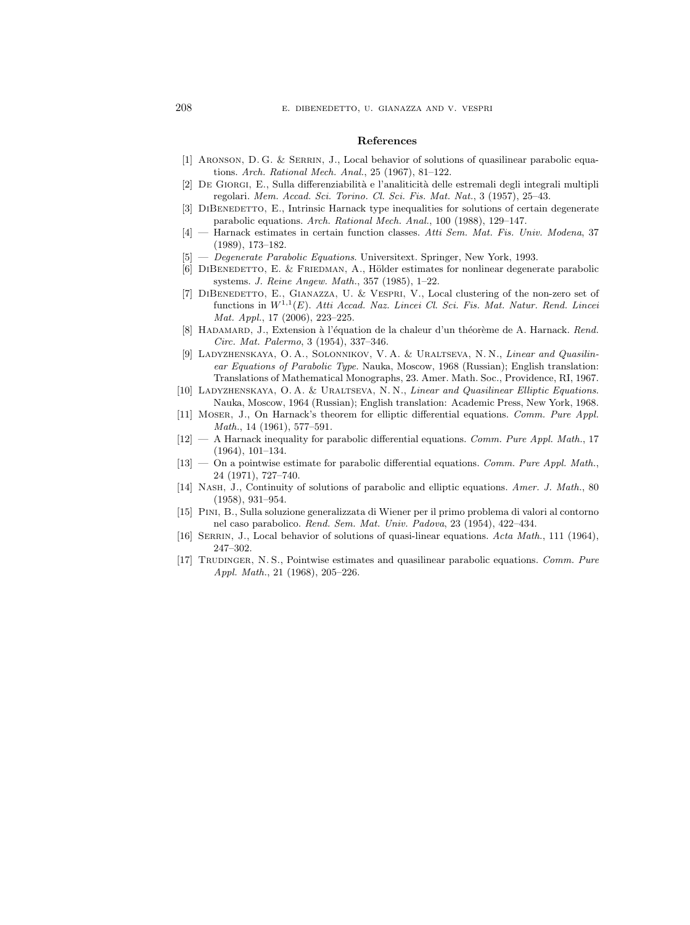#### References

- [1] Aronson, D. G. & Serrin, J., Local behavior of solutions of quasilinear parabolic equations. Arch. Rational Mech. Anal., 25 (1967), 81–122.
- [2] De Giorgi, E., Sulla differenziabilit`a e l'analiticit`a delle estremali degli integrali multipli regolari. Mem. Accad. Sci. Torino. Cl. Sci. Fis. Mat. Nat., 3 (1957), 25–43.
- [3] DIBENEDETTO, E., Intrinsic Harnack type inequalities for solutions of certain degenerate parabolic equations. Arch. Rational Mech. Anal., 100 (1988), 129–147.
- [4] Harnack estimates in certain function classes. Atti Sem. Mat. Fis. Univ. Modena, 37 (1989), 173–182.
- [5] Degenerate Parabolic Equations. Universitext. Springer, New York, 1993.
- [6] DIBENEDETTO, E. & FRIEDMAN, A., Hölder estimates for nonlinear degenerate parabolic systems. J. Reine Angew. Math., 357 (1985), 1–22.
- [7] DiBenedetto, E., Gianazza, U. & Vespri, V., Local clustering of the non-zero set of functions in  $W^{1,1}(E)$ . Atti Accad. Naz. Lincei Cl. Sci. Fis. Mat. Natur. Rend. Lincei Mat. Appl., 17 (2006), 223–225.
- [8] HADAMARD, J., Extension à l'équation de la chaleur d'un théorème de A. Harnack. Rend. Circ. Mat. Palermo, 3 (1954), 337–346.
- [9] Ladyzhenskaya, O. A., Solonnikov, V. A. & Uraltseva, N. N., Linear and Quasilinear Equations of Parabolic Type. Nauka, Moscow, 1968 (Russian); English translation: Translations of Mathematical Monographs, 23. Amer. Math. Soc., Providence, RI, 1967.
- [10] LADYZHENSKAYA, O. A. & URALTSEVA, N. N., Linear and Quasilinear Elliptic Equations. Nauka, Moscow, 1964 (Russian); English translation: Academic Press, New York, 1968.
- [11] Moser, J., On Harnack's theorem for elliptic differential equations. Comm. Pure Appl. Math., 14 (1961), 577–591.
- $[12]$  A Harnack inequality for parabolic differential equations. Comm. Pure Appl. Math., 17 (1964), 101–134.
- $[13]$  On a pointwise estimate for parabolic differential equations. Comm. Pure Appl. Math., 24 (1971), 727–740.
- [14] NASH, J., Continuity of solutions of parabolic and elliptic equations. Amer. J. Math., 80 (1958), 931–954.
- [15] Pini, B., Sulla soluzione generalizzata di Wiener per il primo problema di valori al contorno nel caso parabolico. Rend. Sem. Mat. Univ. Padova, 23 (1954), 422–434.
- [16] SERRIN, J., Local behavior of solutions of quasi-linear equations. Acta Math., 111 (1964), 247–302.
- [17] Trudinger, N. S., Pointwise estimates and quasilinear parabolic equations. Comm. Pure Appl. Math., 21 (1968), 205–226.